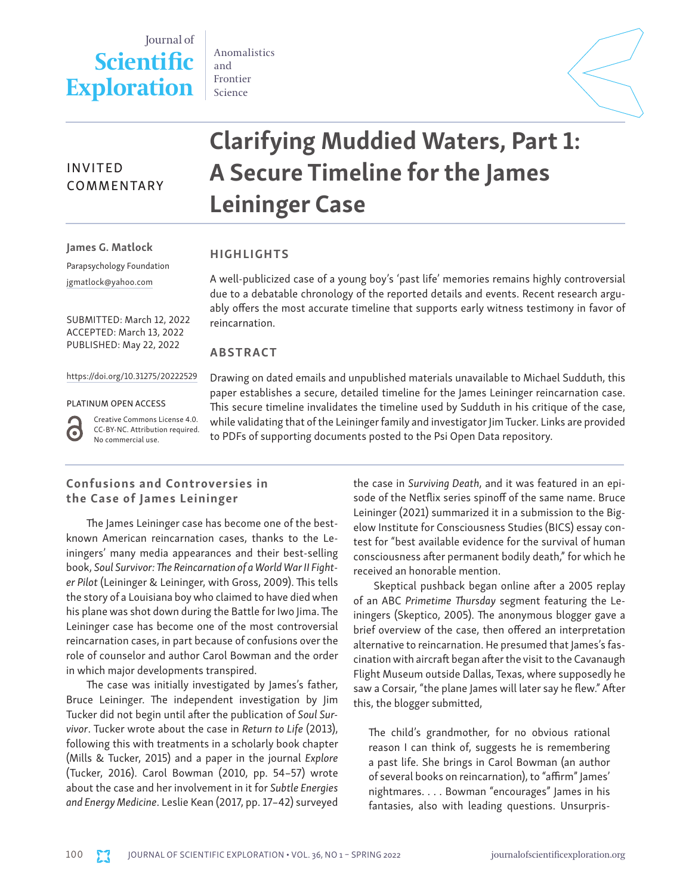# Journal of **Scientific Exploration**

Anomalistics and Frontier Science



# Clarifying Muddied Waters, Part 1: A Secure Timeline for the James Leininger Case COMMENTARY

James G. Matlock

INVITED

## HIGHLIGHTS

reincarnation.

ABSTRACT

Parapsychology Foundation [jgmatlock@yahoo.com](mailto:jgmatlock@yahoo.com)

SUBMITTED: March 12, 2022 ACCEPTED: March 13, 2022 PUBLISHED: May 22, 2022

[https://doi.org/10.31275/20222529](https://doi.org/10.31275/20201971)

#### PLATINUM OPEN ACCESS

G

Creative Commons License 4.0. CC-BY-NC. Attribution required. No commercial use.

Drawing on dated emails and unpublished materials unavailable to Michael Sudduth, this paper establishes a secure, detailed timeline for the James Leininger reincarnation case. This secure timeline invalidates the timeline used by Sudduth in his critique of the case, while validating that of the Leininger family and investigator Jim Tucker. Links are provided to PDFs of supporting documents posted to the Psi Open Data repository.

A well-publicized case of a young boy's 'past life' memories remains highly controversial due to a debatable chronology of the reported details and events. Recent research arguably offers the most accurate timeline that supports early witness testimony in favor of

# Confusions and Controversies in the Case of James Leininger

The James Leininger case has become one of the bestknown American reincarnation cases, thanks to the Leiningers' many media appearances and their best-selling book, *Soul Survivor: The Reincarnation of a World War II Fighter Pilot* (Leininger & Leininger, with Gross, 2009). This tells the story of a Louisiana boy who claimed to have died when his plane was shot down during the Battle for Iwo Jima. The Leininger case has become one of the most controversial reincarnation cases, in part because of confusions over the role of counselor and author Carol Bowman and the order in which major developments transpired.

The case was initially investigated by James's father, Bruce Leininger. The independent investigation by Jim Tucker did not begin until after the publication of *Soul Survivor*. Tucker wrote about the case in *Return to Life* (2013), following this with treatments in a scholarly book chapter (Mills & Tucker, 2015) and a paper in the journal *Explore* (Tucker, 2016). Carol Bowman (2010, pp. 54–57) wrote about the case and her involvement in it for *Subtle Energies and Energy Medicine*. Leslie Kean (2017, pp. 17–42) surveyed the case in *Surviving Death*, and it was featured in an episode of the Netflix series spinoff of the same name. Bruce Leininger (2021) summarized it in a submission to the Bigelow Institute for Consciousness Studies (BICS) essay contest for "best available evidence for the survival of human consciousness after permanent bodily death," for which he received an honorable mention.

Skeptical pushback began online after a 2005 replay of an ABC *Primetime Thursday* segment featuring the Leiningers (Skeptico, 2005). The anonymous blogger gave a brief overview of the case, then offered an interpretation alternative to reincarnation. He presumed that James's fascination with aircraft began after the visit to the Cavanaugh Flight Museum outside Dallas, Texas, where supposedly he saw a Corsair, "the plane James will later say he flew." After this, the blogger submitted,

The child's grandmother, for no obvious rational reason I can think of, suggests he is remembering a past life. She brings in Carol Bowman (an author of several books on reincarnation), to "affirm" James' nightmares. . . . Bowman "encourages" James in his fantasies, also with leading questions. Unsurpris-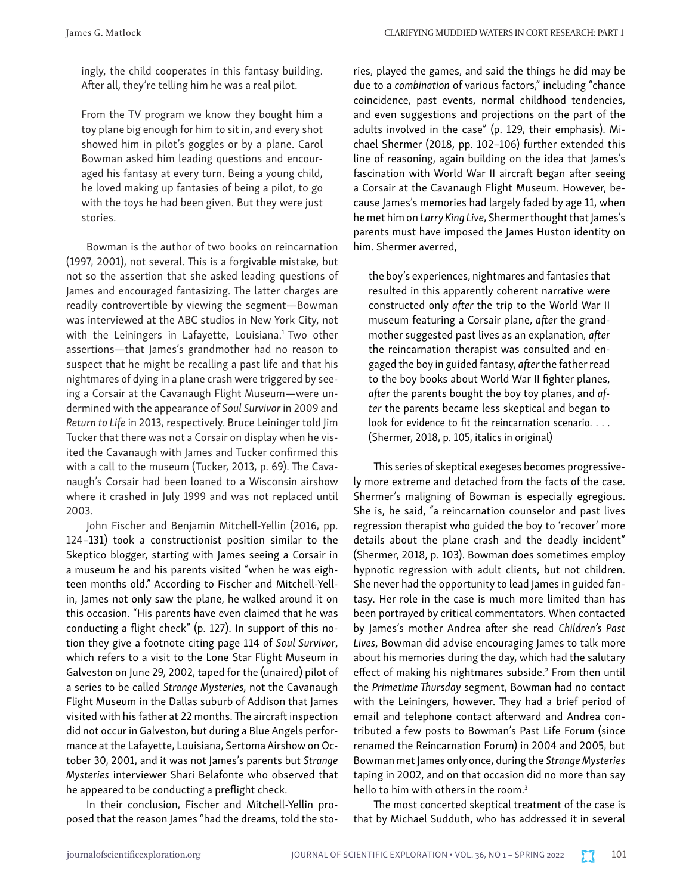ingly, the child cooperates in this fantasy building. After all, they're telling him he was a real pilot.

From the TV program we know they bought him a toy plane big enough for him to sit in, and every shot showed him in pilot's goggles or by a plane. Carol Bowman asked him leading questions and encouraged his fantasy at every turn. Being a young child, he loved making up fantasies of being a pilot, to go with the toys he had been given. But they were just stories.

Bowman is the author of two books on reincarnation (1997, 2001), not several. This is a forgivable mistake, but not so the assertion that she asked leading questions of James and encouraged fantasizing. The latter charges are readily controvertible by viewing the segment—Bowman was interviewed at the ABC studios in New York City, not with the Leiningers in Lafayette, Louisiana.<sup>1</sup> Two other assertions—that James's grandmother had no reason to suspect that he might be recalling a past life and that his nightmares of dying in a plane crash were triggered by seeing a Corsair at the Cavanaugh Flight Museum—were undermined with the appearance of *Soul Survivor* in 2009 and *Return to Life* in 2013, respectively. Bruce Leininger told Jim Tucker that there was not a Corsair on display when he visited the Cavanaugh with James and Tucker confirmed this with a call to the museum (Tucker, 2013, p. 69). The Cavanaugh's Corsair had been loaned to a Wisconsin airshow where it crashed in July 1999 and was not replaced until 2003.

John Fischer and Benjamin Mitchell-Yellin (2016, pp. 124–131) took a constructionist position similar to the Skeptico blogger, starting with James seeing a Corsair in a museum he and his parents visited "when he was eighteen months old." According to Fischer and Mitchell-Yellin, James not only saw the plane, he walked around it on this occasion. "His parents have even claimed that he was conducting a flight check" (p. 127). In support of this notion they give a footnote citing page 114 of *Soul Survivor*, which refers to a visit to the Lone Star Flight Museum in Galveston on June 29, 2002, taped for the (unaired) pilot of a series to be called *Strange Mysteries*, not the Cavanaugh Flight Museum in the Dallas suburb of Addison that James visited with his father at 22 months. The aircraft inspection did not occur in Galveston, but during a Blue Angels performance at the Lafayette, Louisiana, Sertoma Airshow on October 30, 2001, and it was not James's parents but *Strange Mysteries* interviewer Shari Belafonte who observed that he appeared to be conducting a preflight check.

In their conclusion, Fischer and Mitchell-Yellin proposed that the reason James "had the dreams, told the stories, played the games, and said the things he did may be due to a *combination* of various factors," including "chance coincidence, past events, normal childhood tendencies, and even suggestions and projections on the part of the adults involved in the case" (p. 129, their emphasis). Michael Shermer (2018, pp. 102–106) further extended this line of reasoning, again building on the idea that James's fascination with World War II aircraft began after seeing a Corsair at the Cavanaugh Flight Museum. However, because James's memories had largely faded by age 11, when he met him on *Larry King Live*, Shermer thought that James's parents must have imposed the James Huston identity on him. Shermer averred,

the boy's experiences, nightmares and fantasies that resulted in this apparently coherent narrative were constructed only *after* the trip to the World War II museum featuring a Corsair plane, *after* the grandmother suggested past lives as an explanation, *after* the reincarnation therapist was consulted and engaged the boy in guided fantasy, *after* the father read to the boy books about World War II fighter planes, *after* the parents bought the boy toy planes, and *after* the parents became less skeptical and began to look for evidence to fit the reincarnation scenario. . . . (Shermer, 2018, p. 105, italics in original)

This series of skeptical exegeses becomes progressively more extreme and detached from the facts of the case. Shermer's maligning of Bowman is especially egregious. She is, he said, "a reincarnation counselor and past lives regression therapist who guided the boy to 'recover' more details about the plane crash and the deadly incident" (Shermer, 2018, p. 103). Bowman does sometimes employ hypnotic regression with adult clients, but not children. She never had the opportunity to lead James in guided fantasy. Her role in the case is much more limited than has been portrayed by critical commentators. When contacted by James's mother Andrea after she read *Children's Past Lives*, Bowman did advise encouraging James to talk more about his memories during the day, which had the salutary effect of making his nightmares subside.<sup>2</sup> From then until the *Primetime Thursday* segment, Bowman had no contact with the Leiningers, however. They had a brief period of email and telephone contact afterward and Andrea contributed a few posts to Bowman's Past Life Forum (since renamed the Reincarnation Forum) in 2004 and 2005, but Bowman met James only once, during the *Strange Mysteries* taping in 2002, and on that occasion did no more than say hello to him with others in the room.<sup>3</sup>

The most concerted skeptical treatment of the case is that by Michael Sudduth, who has addressed it in several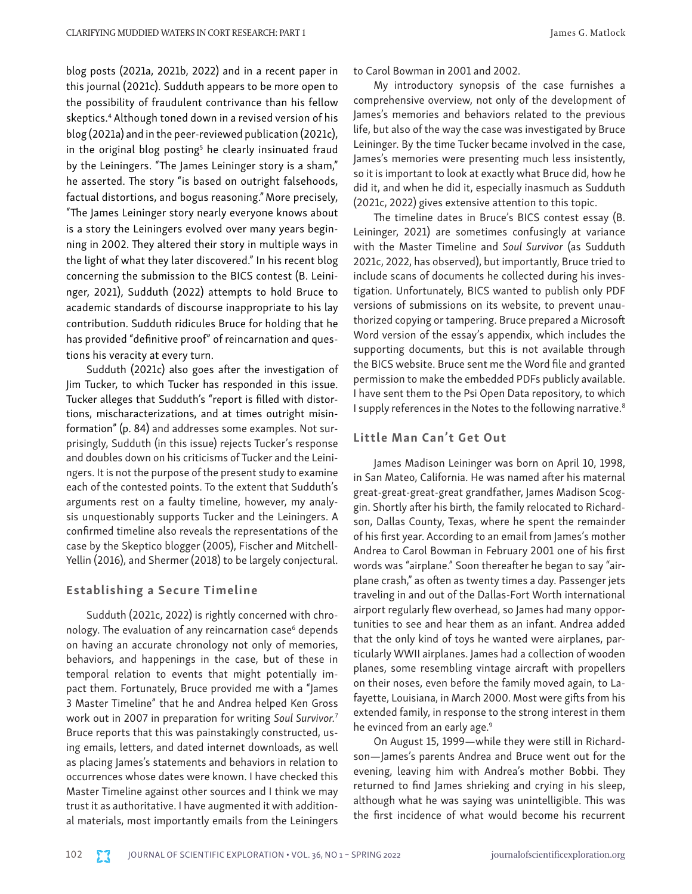blog posts (2021a, 2021b, 2022) and in a recent paper in this journal (2021c). Sudduth appears to be more open to the possibility of fraudulent contrivance than his fellow skeptics.4 Although toned down in a revised version of his blog (2021a) and in the peer-reviewed publication (2021c), in the original blog posting<sup>5</sup> he clearly insinuated fraud by the Leiningers. "The James Leininger story is a sham," he asserted. The story "is based on outright falsehoods, factual distortions, and bogus reasoning." More precisely, "The James Leininger story nearly everyone knows about is a story the Leiningers evolved over many years beginning in 2002. They altered their story in multiple ways in the light of what they later discovered." In his recent blog concerning the submission to the BICS contest (B. Leininger, 2021), Sudduth (2022) attempts to hold Bruce to academic standards of discourse inappropriate to his lay contribution. Sudduth ridicules Bruce for holding that he has provided "definitive proof" of reincarnation and questions his veracity at every turn.

Sudduth (2021c) also goes after the investigation of Jim Tucker, to which Tucker has responded in this issue. Tucker alleges that Sudduth's "report is filled with distortions, mischaracterizations, and at times outright misinformation" (p. 84) and addresses some examples. Not surprisingly, Sudduth (in this issue) rejects Tucker's response and doubles down on his criticisms of Tucker and the Leiningers. It is not the purpose of the present study to examine each of the contested points. To the extent that Sudduth's arguments rest on a faulty timeline, however, my analysis unquestionably supports Tucker and the Leiningers. A confirmed timeline also reveals the representations of the case by the Skeptico blogger (2005), Fischer and Mitchell-Yellin (2016), and Shermer (2018) to be largely conjectural.

#### Establishing a Secure Timeline

Sudduth (2021c, 2022) is rightly concerned with chronology. The evaluation of any reincarnation case<sup>6</sup> depends on having an accurate chronology not only of memories, behaviors, and happenings in the case, but of these in temporal relation to events that might potentially impact them. Fortunately, Bruce provided me with a "James 3 Master Timeline" that he and Andrea helped Ken Gross work out in 2007 in preparation for writing *Soul Survivor.*<sup>7</sup> Bruce reports that this was painstakingly constructed, using emails, letters, and dated internet downloads, as well as placing James's statements and behaviors in relation to occurrences whose dates were known. I have checked this Master Timeline against other sources and I think we may trust it as authoritative. I have augmented it with additional materials, most importantly emails from the Leiningers

to Carol Bowman in 2001 and 2002.

My introductory synopsis of the case furnishes a comprehensive overview, not only of the development of James's memories and behaviors related to the previous life, but also of the way the case was investigated by Bruce Leininger. By the time Tucker became involved in the case, James's memories were presenting much less insistently, so it is important to look at exactly what Bruce did, how he did it, and when he did it, especially inasmuch as Sudduth (2021c, 2022) gives extensive attention to this topic.

The timeline dates in Bruce's BICS contest essay (B. Leininger, 2021) are sometimes confusingly at variance with the Master Timeline and *Soul Survivor* (as Sudduth 2021c, 2022, has observed), but importantly, Bruce tried to include scans of documents he collected during his investigation. Unfortunately, BICS wanted to publish only PDF versions of submissions on its website, to prevent unauthorized copying or tampering. Bruce prepared a Microsoft Word version of the essay's appendix, which includes the supporting documents, but this is not available through the BICS website. Bruce sent me the Word file and granted permission to make the embedded PDFs publicly available. I have sent them to the Psi Open Data repository, to which I supply references in the Notes to the following narrative.8

#### Little Man Can't Get Out

James Madison Leininger was born on April 10, 1998, in San Mateo, California. He was named after his maternal great-great-great-great grandfather, James Madison Scoggin. Shortly after his birth, the family relocated to Richardson, Dallas County, Texas, where he spent the remainder of his first year. According to an email from James's mother Andrea to Carol Bowman in February 2001 one of his first words was "airplane." Soon thereafter he began to say "airplane crash," as often as twenty times a day. Passenger jets traveling in and out of the Dallas-Fort Worth international airport regularly flew overhead, so James had many opportunities to see and hear them as an infant. Andrea added that the only kind of toys he wanted were airplanes, particularly WWII airplanes. James had a collection of wooden planes, some resembling vintage aircraft with propellers on their noses, even before the family moved again, to Lafayette, Louisiana, in March 2000. Most were gifts from his extended family, in response to the strong interest in them he evinced from an early age.<sup>9</sup>

On August 15, 1999—while they were still in Richardson—James's parents Andrea and Bruce went out for the evening, leaving him with Andrea's mother Bobbi. They returned to find James shrieking and crying in his sleep, although what he was saying was unintelligible. This was the first incidence of what would become his recurrent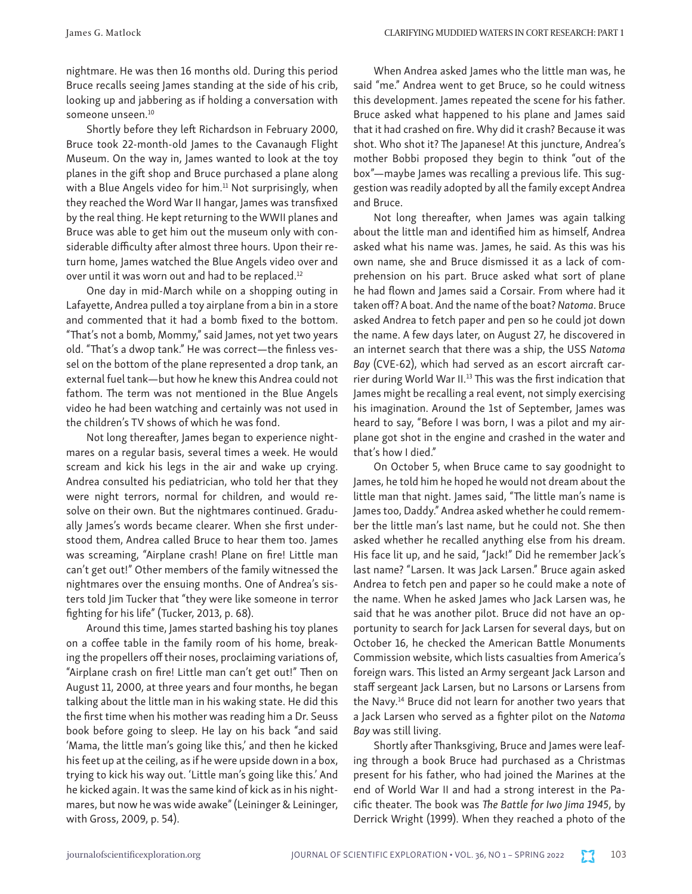nightmare. He was then 16 months old. During this period Bruce recalls seeing James standing at the side of his crib, looking up and jabbering as if holding a conversation with someone unseen.<sup>10</sup>

Shortly before they left Richardson in February 2000, Bruce took 22-month-old James to the Cavanaugh Flight Museum. On the way in, James wanted to look at the toy planes in the gift shop and Bruce purchased a plane along with a Blue Angels video for him.<sup>11</sup> Not surprisingly, when they reached the Word War II hangar, James was transfixed by the real thing. He kept returning to the WWII planes and Bruce was able to get him out the museum only with considerable difficulty after almost three hours. Upon their return home, James watched the Blue Angels video over and over until it was worn out and had to be replaced.12

One day in mid-March while on a shopping outing in Lafayette, Andrea pulled a toy airplane from a bin in a store and commented that it had a bomb fixed to the bottom. "That's not a bomb, Mommy," said James, not yet two years old. "That's a dwop tank." He was correct—the finless vessel on the bottom of the plane represented a drop tank, an external fuel tank—but how he knew this Andrea could not fathom. The term was not mentioned in the Blue Angels video he had been watching and certainly was not used in the children's TV shows of which he was fond.

Not long thereafter, James began to experience nightmares on a regular basis, several times a week. He would scream and kick his legs in the air and wake up crying. Andrea consulted his pediatrician, who told her that they were night terrors, normal for children, and would resolve on their own. But the nightmares continued. Gradually James's words became clearer. When she first understood them, Andrea called Bruce to hear them too. James was screaming, "Airplane crash! Plane on fire! Little man can't get out!" Other members of the family witnessed the nightmares over the ensuing months. One of Andrea's sisters told Jim Tucker that "they were like someone in terror fighting for his life" (Tucker, 2013, p. 68).

Around this time, James started bashing his toy planes on a coffee table in the family room of his home, breaking the propellers off their noses, proclaiming variations of, "Airplane crash on fire! Little man can't get out!" Then on August 11, 2000, at three years and four months, he began talking about the little man in his waking state. He did this the first time when his mother was reading him a Dr. Seuss book before going to sleep. He lay on his back "and said 'Mama, the little man's going like this,' and then he kicked his feet up at the ceiling, as if he were upside down in a box, trying to kick his way out. 'Little man's going like this.' And he kicked again. It was the same kind of kick as in his nightmares, but now he was wide awake" (Leininger & Leininger, with Gross, 2009, p. 54).

When Andrea asked James who the little man was, he said "me." Andrea went to get Bruce, so he could witness this development. James repeated the scene for his father. Bruce asked what happened to his plane and James said that it had crashed on fire. Why did it crash? Because it was shot. Who shot it? The Japanese! At this juncture, Andrea's mother Bobbi proposed they begin to think "out of the box"—maybe James was recalling a previous life. This suggestion was readily adopted by all the family except Andrea and Bruce.

Not long thereafter, when James was again talking about the little man and identified him as himself, Andrea asked what his name was. James, he said. As this was his own name, she and Bruce dismissed it as a lack of comprehension on his part. Bruce asked what sort of plane he had flown and James said a Corsair. From where had it taken off? A boat. And the name of the boat? *Natoma*. Bruce asked Andrea to fetch paper and pen so he could jot down the name. A few days later, on August 27, he discovered in an internet search that there was a ship, the USS *Natoma Bay* (CVE-62), which had served as an escort aircraft carrier during World War II.<sup>13</sup> This was the first indication that James might be recalling a real event, not simply exercising his imagination. Around the 1st of September, James was heard to say, "Before I was born, I was a pilot and my airplane got shot in the engine and crashed in the water and that's how I died."

On October 5, when Bruce came to say goodnight to James, he told him he hoped he would not dream about the little man that night. James said, "The little man's name is James too, Daddy." Andrea asked whether he could remember the little man's last name, but he could not. She then asked whether he recalled anything else from his dream. His face lit up, and he said, "Jack!" Did he remember Jack's last name? "Larsen. It was Jack Larsen." Bruce again asked Andrea to fetch pen and paper so he could make a note of the name. When he asked James who Jack Larsen was, he said that he was another pilot. Bruce did not have an opportunity to search for Jack Larsen for several days, but on October 16, he checked the American Battle Monuments Commission website, which lists casualties from America's foreign wars. This listed an Army sergeant Jack Larson and staff sergeant Jack Larsen, but no Larsons or Larsens from the Navy.14 Bruce did not learn for another two years that a Jack Larsen who served as a fighter pilot on the *Natoma Bay* was still living.

Shortly after Thanksgiving, Bruce and James were leafing through a book Bruce had purchased as a Christmas present for his father, who had joined the Marines at the end of World War II and had a strong interest in the Pacific theater. The book was *The Battle for Iwo Jima 1945*, by Derrick Wright (1999). When they reached a photo of the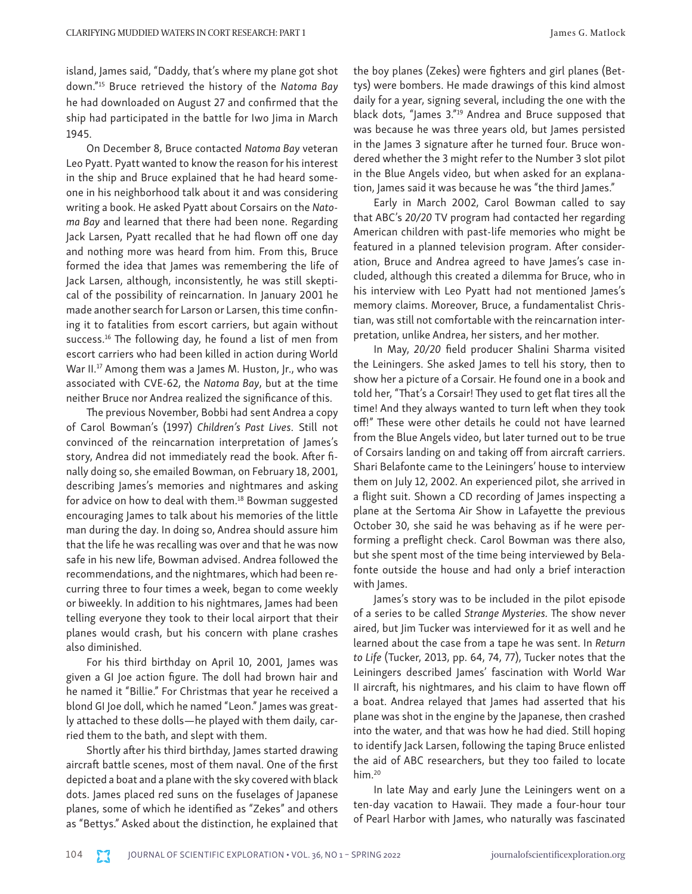island, James said, "Daddy, that's where my plane got shot down."15 Bruce retrieved the history of the *Natoma Bay* he had downloaded on August 27 and confirmed that the ship had participated in the battle for Iwo Jima in March 1945.

On December 8, Bruce contacted *Natoma Bay* veteran Leo Pyatt. Pyatt wanted to know the reason for his interest in the ship and Bruce explained that he had heard someone in his neighborhood talk about it and was considering writing a book. He asked Pyatt about Corsairs on the *Natoma Bay* and learned that there had been none. Regarding Jack Larsen, Pyatt recalled that he had flown off one day and nothing more was heard from him. From this, Bruce formed the idea that James was remembering the life of Jack Larsen, although, inconsistently, he was still skeptical of the possibility of reincarnation. In January 2001 he made another search for Larson or Larsen, this time confining it to fatalities from escort carriers, but again without success.<sup>16</sup> The following day, he found a list of men from escort carriers who had been killed in action during World War II.<sup>17</sup> Among them was a James M. Huston, Jr., who was associated with CVE-62, the *Natoma Bay*, but at the time neither Bruce nor Andrea realized the significance of this.

The previous November, Bobbi had sent Andrea a copy of Carol Bowman's (1997) *Children's Past Lives*. Still not convinced of the reincarnation interpretation of James's story, Andrea did not immediately read the book. After finally doing so, she emailed Bowman, on February 18, 2001, describing James's memories and nightmares and asking for advice on how to deal with them.<sup>18</sup> Bowman suggested encouraging James to talk about his memories of the little man during the day. In doing so, Andrea should assure him that the life he was recalling was over and that he was now safe in his new life, Bowman advised. Andrea followed the recommendations, and the nightmares, which had been recurring three to four times a week, began to come weekly or biweekly. In addition to his nightmares, James had been telling everyone they took to their local airport that their planes would crash, but his concern with plane crashes also diminished.

For his third birthday on April 10, 2001, James was given a GI Joe action figure. The doll had brown hair and he named it "Billie." For Christmas that year he received a blond GI Joe doll, which he named "Leon." James was greatly attached to these dolls—he played with them daily, carried them to the bath, and slept with them.

Shortly after his third birthday, James started drawing aircraft battle scenes, most of them naval. One of the first depicted a boat and a plane with the sky covered with black dots. James placed red suns on the fuselages of Japanese planes, some of which he identified as "Zekes" and others as "Bettys." Asked about the distinction, he explained that the boy planes (Zekes) were fighters and girl planes (Bettys) were bombers. He made drawings of this kind almost daily for a year, signing several, including the one with the black dots, "James 3."19 Andrea and Bruce supposed that was because he was three years old, but James persisted in the James 3 signature after he turned four. Bruce wondered whether the 3 might refer to the Number 3 slot pilot in the Blue Angels video, but when asked for an explanation, James said it was because he was "the third James."

Early in March 2002, Carol Bowman called to say that ABC's *20/20* TV program had contacted her regarding American children with past-life memories who might be featured in a planned television program. After consideration, Bruce and Andrea agreed to have James's case included, although this created a dilemma for Bruce, who in his interview with Leo Pyatt had not mentioned James's memory claims. Moreover, Bruce, a fundamentalist Christian, was still not comfortable with the reincarnation interpretation, unlike Andrea, her sisters, and her mother.

In May, *20/20* field producer Shalini Sharma visited the Leiningers. She asked James to tell his story, then to show her a picture of a Corsair. He found one in a book and told her, "That's a Corsair! They used to get flat tires all the time! And they always wanted to turn left when they took off!" These were other details he could not have learned from the Blue Angels video, but later turned out to be true of Corsairs landing on and taking off from aircraft carriers. Shari Belafonte came to the Leiningers' house to interview them on July 12, 2002. An experienced pilot, she arrived in a flight suit. Shown a CD recording of James inspecting a plane at the Sertoma Air Show in Lafayette the previous October 30, she said he was behaving as if he were performing a preflight check. Carol Bowman was there also, but she spent most of the time being interviewed by Belafonte outside the house and had only a brief interaction with James.

James's story was to be included in the pilot episode of a series to be called *Strange Mysteries.* The show never aired, but Jim Tucker was interviewed for it as well and he learned about the case from a tape he was sent. In *Return to Life* (Tucker, 2013, pp. 64, 74, 77), Tucker notes that the Leiningers described James' fascination with World War II aircraft, his nightmares, and his claim to have flown off a boat. Andrea relayed that James had asserted that his plane was shot in the engine by the Japanese, then crashed into the water, and that was how he had died. Still hoping to identify Jack Larsen, following the taping Bruce enlisted the aid of ABC researchers, but they too failed to locate him.<sup>20</sup>

In late May and early June the Leiningers went on a ten-day vacation to Hawaii. They made a four-hour tour of Pearl Harbor with James, who naturally was fascinated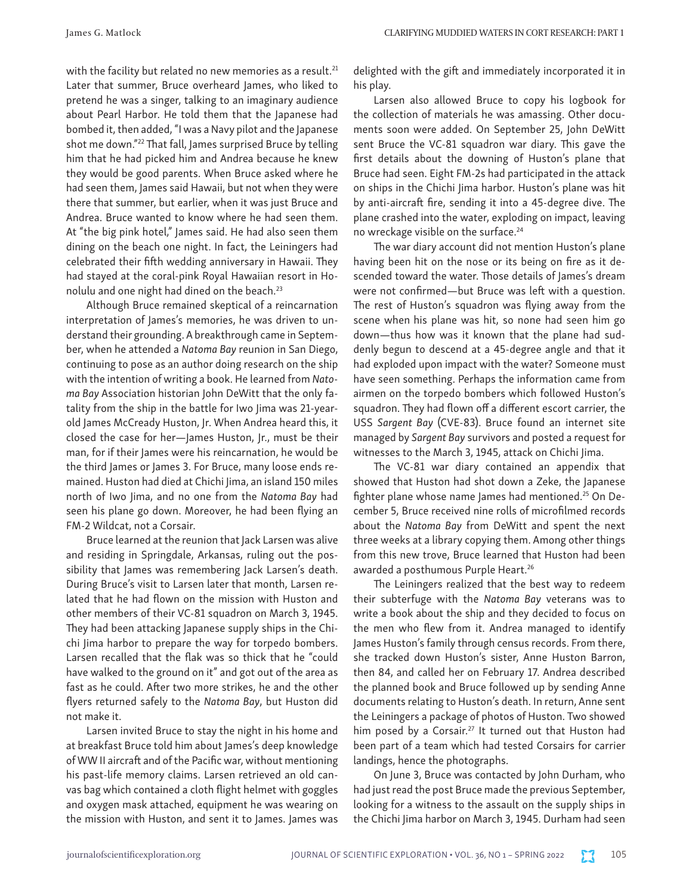with the facility but related no new memories as a result.<sup>21</sup> Later that summer, Bruce overheard James, who liked to pretend he was a singer, talking to an imaginary audience about Pearl Harbor. He told them that the Japanese had bombed it, then added, "I was a Navy pilot and the Japanese shot me down."22 That fall, James surprised Bruce by telling him that he had picked him and Andrea because he knew they would be good parents. When Bruce asked where he had seen them, James said Hawaii, but not when they were there that summer, but earlier, when it was just Bruce and Andrea. Bruce wanted to know where he had seen them. At "the big pink hotel," James said. He had also seen them dining on the beach one night. In fact, the Leiningers had celebrated their fifth wedding anniversary in Hawaii. They had stayed at the coral-pink Royal Hawaiian resort in Honolulu and one night had dined on the beach.<sup>23</sup>

Although Bruce remained skeptical of a reincarnation interpretation of James's memories, he was driven to understand their grounding. A breakthrough came in September, when he attended a *Natoma Bay* reunion in San Diego, continuing to pose as an author doing research on the ship with the intention of writing a book. He learned from *Natoma Bay* Association historian John DeWitt that the only fatality from the ship in the battle for Iwo Jima was 21-yearold James McCready Huston, Jr. When Andrea heard this, it closed the case for her—James Huston, Jr., must be their man, for if their James were his reincarnation, he would be the third James or James 3. For Bruce, many loose ends remained. Huston had died at Chichi Jima, an island 150 miles north of Iwo Jima, and no one from the *Natoma Bay* had seen his plane go down. Moreover, he had been flying an FM-2 Wildcat, not a Corsair.

Bruce learned at the reunion that Jack Larsen was alive and residing in Springdale, Arkansas, ruling out the possibility that James was remembering Jack Larsen's death. During Bruce's visit to Larsen later that month, Larsen related that he had flown on the mission with Huston and other members of their VC-81 squadron on March 3, 1945. They had been attacking Japanese supply ships in the Chichi Jima harbor to prepare the way for torpedo bombers. Larsen recalled that the flak was so thick that he "could have walked to the ground on it" and got out of the area as fast as he could. After two more strikes, he and the other flyers returned safely to the *Natoma Bay*, but Huston did not make it.

Larsen invited Bruce to stay the night in his home and at breakfast Bruce told him about James's deep knowledge of WW II aircraft and of the Pacific war, without mentioning his past-life memory claims. Larsen retrieved an old canvas bag which contained a cloth flight helmet with goggles and oxygen mask attached, equipment he was wearing on the mission with Huston, and sent it to James. James was delighted with the gift and immediately incorporated it in his play.

Larsen also allowed Bruce to copy his logbook for the collection of materials he was amassing. Other documents soon were added. On September 25, John DeWitt sent Bruce the VC-81 squadron war diary. This gave the first details about the downing of Huston's plane that Bruce had seen. Eight FM-2s had participated in the attack on ships in the Chichi Jima harbor. Huston's plane was hit by anti-aircraft fire, sending it into a 45-degree dive. The plane crashed into the water, exploding on impact, leaving no wreckage visible on the surface.<sup>24</sup>

The war diary account did not mention Huston's plane having been hit on the nose or its being on fire as it descended toward the water. Those details of James's dream were not confirmed—but Bruce was left with a question. The rest of Huston's squadron was flying away from the scene when his plane was hit, so none had seen him go down—thus how was it known that the plane had suddenly begun to descend at a 45-degree angle and that it had exploded upon impact with the water? Someone must have seen something. Perhaps the information came from airmen on the torpedo bombers which followed Huston's squadron. They had flown off a different escort carrier, the USS *Sargent Bay* (CVE-83). Bruce found an internet site managed by *Sargent Bay* survivors and posted a request for witnesses to the March 3, 1945, attack on Chichi Jima.

The VC-81 war diary contained an appendix that showed that Huston had shot down a Zeke, the Japanese fighter plane whose name James had mentioned.25 On December 5, Bruce received nine rolls of microfilmed records about the *Natoma Bay* from DeWitt and spent the next three weeks at a library copying them. Among other things from this new trove, Bruce learned that Huston had been awarded a posthumous Purple Heart.<sup>26</sup>

The Leiningers realized that the best way to redeem their subterfuge with the *Natoma Bay* veterans was to write a book about the ship and they decided to focus on the men who flew from it. Andrea managed to identify James Huston's family through census records. From there, she tracked down Huston's sister, Anne Huston Barron, then 84, and called her on February 17. Andrea described the planned book and Bruce followed up by sending Anne documents relating to Huston's death. In return, Anne sent the Leiningers a package of photos of Huston. Two showed him posed by a Corsair.<sup>27</sup> It turned out that Huston had been part of a team which had tested Corsairs for carrier landings, hence the photographs.

On June 3, Bruce was contacted by John Durham, who had just read the post Bruce made the previous September, looking for a witness to the assault on the supply ships in the Chichi Jima harbor on March 3, 1945. Durham had seen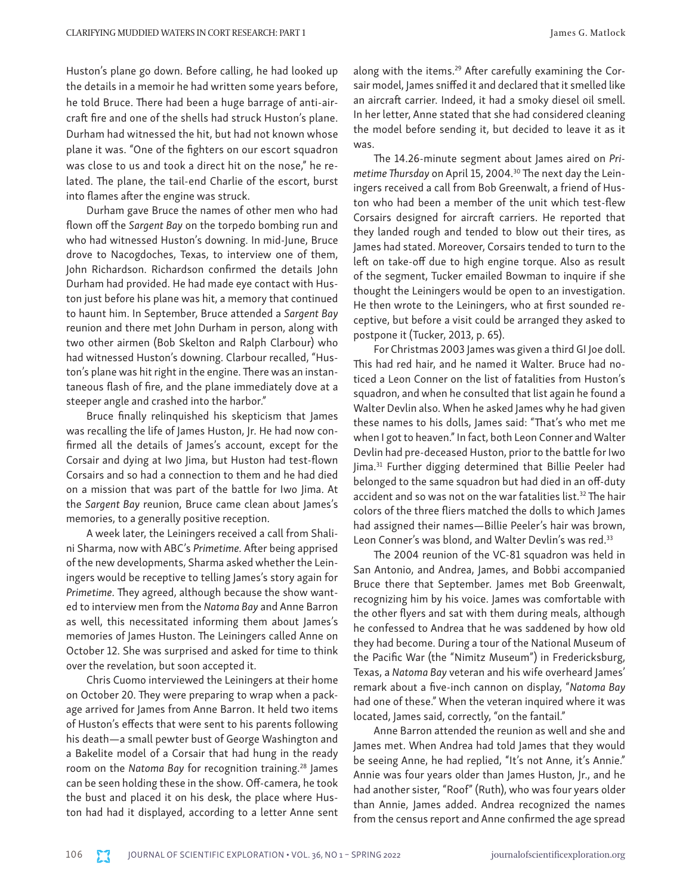Huston's plane go down. Before calling, he had looked up the details in a memoir he had written some years before, he told Bruce. There had been a huge barrage of anti-aircraft fire and one of the shells had struck Huston's plane. Durham had witnessed the hit, but had not known whose plane it was. "One of the fighters on our escort squadron was close to us and took a direct hit on the nose," he related. The plane, the tail-end Charlie of the escort, burst into flames after the engine was struck.

Durham gave Bruce the names of other men who had flown off the *Sargent Bay* on the torpedo bombing run and who had witnessed Huston's downing. In mid-June, Bruce drove to Nacogdoches, Texas, to interview one of them, John Richardson. Richardson confirmed the details John Durham had provided. He had made eye contact with Huston just before his plane was hit, a memory that continued to haunt him. In September, Bruce attended a *Sargent Bay* reunion and there met John Durham in person, along with two other airmen (Bob Skelton and Ralph Clarbour) who had witnessed Huston's downing. Clarbour recalled, "Huston's plane was hit right in the engine. There was an instantaneous flash of fire, and the plane immediately dove at a steeper angle and crashed into the harbor."

Bruce finally relinquished his skepticism that James was recalling the life of James Huston, Jr. He had now confirmed all the details of James's account, except for the Corsair and dying at Iwo Jima, but Huston had test-flown Corsairs and so had a connection to them and he had died on a mission that was part of the battle for Iwo Jima. At the *Sargent Bay* reunion, Bruce came clean about James's memories, to a generally positive reception.

A week later, the Leiningers received a call from Shalini Sharma, now with ABC's *Primetime.* After being apprised of the new developments, Sharma asked whether the Leiningers would be receptive to telling James's story again for *Primetime.* They agreed, although because the show wanted to interview men from the *Natoma Bay* and Anne Barron as well, this necessitated informing them about James's memories of James Huston. The Leiningers called Anne on October 12. She was surprised and asked for time to think over the revelation, but soon accepted it.

Chris Cuomo interviewed the Leiningers at their home on October 20. They were preparing to wrap when a package arrived for James from Anne Barron. It held two items of Huston's effects that were sent to his parents following his death—a small pewter bust of George Washington and a Bakelite model of a Corsair that had hung in the ready room on the *Natoma Bay* for recognition training.28 James can be seen holding these in the show. Off-camera, he took the bust and placed it on his desk, the place where Huston had had it displayed, according to a letter Anne sent along with the items.<sup>29</sup> After carefully examining the Corsair model, James sniffed it and declared that it smelled like an aircraft carrier. Indeed, it had a smoky diesel oil smell. In her letter, Anne stated that she had considered cleaning the model before sending it, but decided to leave it as it was.

The 14.26-minute segment about James aired on *Primetime Thursday* on April 15, 2004.30 The next day the Leiningers received a call from Bob Greenwalt, a friend of Huston who had been a member of the unit which test-flew Corsairs designed for aircraft carriers. He reported that they landed rough and tended to blow out their tires, as James had stated. Moreover, Corsairs tended to turn to the left on take-off due to high engine torque. Also as result of the segment, Tucker emailed Bowman to inquire if she thought the Leiningers would be open to an investigation. He then wrote to the Leiningers, who at first sounded receptive, but before a visit could be arranged they asked to postpone it (Tucker, 2013, p. 65).

For Christmas 2003 James was given a third GI Joe doll. This had red hair, and he named it Walter. Bruce had noticed a Leon Conner on the list of fatalities from Huston's squadron, and when he consulted that list again he found a Walter Devlin also. When he asked James why he had given these names to his dolls, James said: "That's who met me when I got to heaven." In fact, both Leon Conner and Walter Devlin had pre-deceased Huston, prior to the battle for Iwo Jima.31 Further digging determined that Billie Peeler had belonged to the same squadron but had died in an off-duty accident and so was not on the war fatalities list.<sup>32</sup> The hair colors of the three fliers matched the dolls to which James had assigned their names—Billie Peeler's hair was brown, Leon Conner's was blond, and Walter Devlin's was red.<sup>33</sup>

The 2004 reunion of the VC-81 squadron was held in San Antonio, and Andrea, James, and Bobbi accompanied Bruce there that September. James met Bob Greenwalt, recognizing him by his voice. James was comfortable with the other flyers and sat with them during meals, although he confessed to Andrea that he was saddened by how old they had become. During a tour of the National Museum of the Pacific War (the "Nimitz Museum") in Fredericksburg, Texas, a *Natoma Bay* veteran and his wife overheard James' remark about a five-inch cannon on display, "*Natoma Bay* had one of these." When the veteran inquired where it was located, James said, correctly, "on the fantail."

Anne Barron attended the reunion as well and she and James met. When Andrea had told James that they would be seeing Anne, he had replied, "It's not Anne, it's Annie." Annie was four years older than James Huston, Jr., and he had another sister, "Roof" (Ruth), who was four years older than Annie, James added. Andrea recognized the names from the census report and Anne confirmed the age spread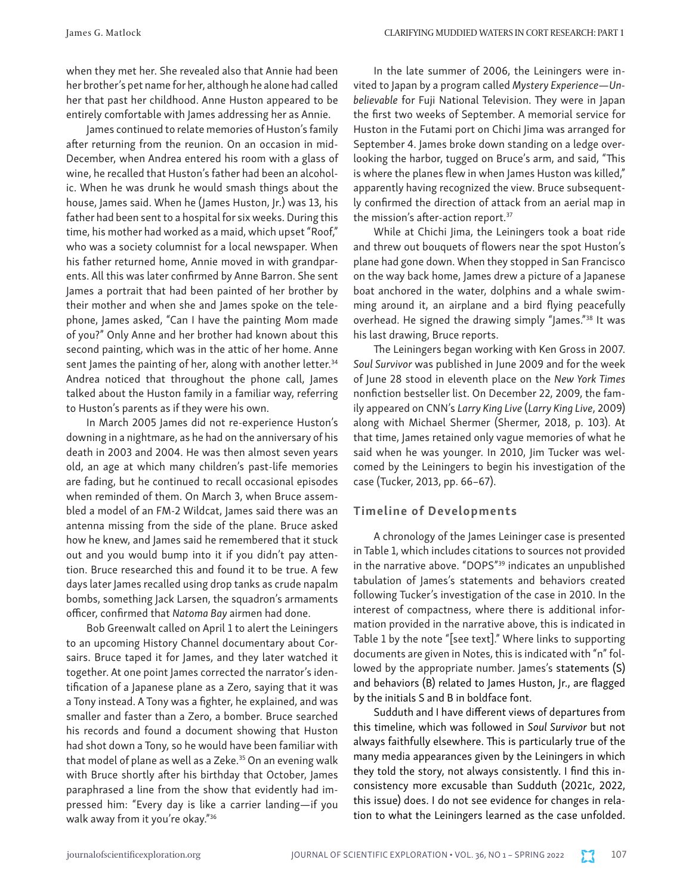when they met her. She revealed also that Annie had been her brother's pet name for her, although he alone had called her that past her childhood. Anne Huston appeared to be entirely comfortable with James addressing her as Annie.

James continued to relate memories of Huston's family after returning from the reunion. On an occasion in mid-December, when Andrea entered his room with a glass of wine, he recalled that Huston's father had been an alcoholic. When he was drunk he would smash things about the house, James said. When he (James Huston, Jr.) was 13, his father had been sent to a hospital for six weeks. During this time, his mother had worked as a maid, which upset "Roof," who was a society columnist for a local newspaper. When his father returned home, Annie moved in with grandparents. All this was later confirmed by Anne Barron. She sent James a portrait that had been painted of her brother by their mother and when she and James spoke on the telephone, James asked, "Can I have the painting Mom made of you?" Only Anne and her brother had known about this second painting, which was in the attic of her home. Anne sent James the painting of her, along with another letter.<sup>34</sup> Andrea noticed that throughout the phone call, James talked about the Huston family in a familiar way, referring to Huston's parents as if they were his own.

In March 2005 James did not re-experience Huston's downing in a nightmare, as he had on the anniversary of his death in 2003 and 2004. He was then almost seven years old, an age at which many children's past-life memories are fading, but he continued to recall occasional episodes when reminded of them. On March 3, when Bruce assembled a model of an FM-2 Wildcat, James said there was an antenna missing from the side of the plane. Bruce asked how he knew, and James said he remembered that it stuck out and you would bump into it if you didn't pay attention. Bruce researched this and found it to be true. A few days later James recalled using drop tanks as crude napalm bombs, something Jack Larsen, the squadron's armaments officer, confirmed that *Natoma Bay* airmen had done.

Bob Greenwalt called on April 1 to alert the Leiningers to an upcoming History Channel documentary about Corsairs. Bruce taped it for James, and they later watched it together. At one point James corrected the narrator's identification of a Japanese plane as a Zero, saying that it was a Tony instead. A Tony was a fighter, he explained, and was smaller and faster than a Zero, a bomber. Bruce searched his records and found a document showing that Huston had shot down a Tony, so he would have been familiar with that model of plane as well as a Zeke.<sup>35</sup> On an evening walk with Bruce shortly after his birthday that October, James paraphrased a line from the show that evidently had impressed him: "Every day is like a carrier landing—if you walk away from it you're okay."36

In the late summer of 2006, the Leiningers were invited to Japan by a program called *Mystery Experience—Unbelievable* for Fuji National Television. They were in Japan the first two weeks of September. A memorial service for Huston in the Futami port on Chichi Jima was arranged for September 4. James broke down standing on a ledge overlooking the harbor, tugged on Bruce's arm, and said, "This is where the planes flew in when James Huston was killed," apparently having recognized the view. Bruce subsequently confirmed the direction of attack from an aerial map in the mission's after-action report.37

While at Chichi Jima, the Leiningers took a boat ride and threw out bouquets of flowers near the spot Huston's plane had gone down. When they stopped in San Francisco on the way back home, James drew a picture of a Japanese boat anchored in the water, dolphins and a whale swimming around it, an airplane and a bird flying peacefully overhead. He signed the drawing simply "James."<sup>38</sup> It was his last drawing, Bruce reports.

The Leiningers began working with Ken Gross in 2007. *Soul Survivor* was published in June 2009 and for the week of June 28 stood in eleventh place on the *New York Times* nonfiction bestseller list. On December 22, 2009, the family appeared on CNN's *Larry King Live* (*Larry King Live*, 2009) along with Michael Shermer (Shermer, 2018, p. 103). At that time, James retained only vague memories of what he said when he was younger. In 2010, Jim Tucker was welcomed by the Leiningers to begin his investigation of the case (Tucker, 2013, pp. 66–67).

## Timeline of Developments

A chronology of the James Leininger case is presented in Table 1, which includes citations to sources not provided in the narrative above. "DOPS"39 indicates an unpublished tabulation of James's statements and behaviors created following Tucker's investigation of the case in 2010. In the interest of compactness, where there is additional information provided in the narrative above, this is indicated in Table 1 by the note "[see text]." Where links to supporting documents are given in Notes, this is indicated with "n" followed by the appropriate number. James's statements (S) and behaviors (B) related to James Huston, Jr., are flagged by the initials S and B in boldface font.

Sudduth and I have different views of departures from this timeline, which was followed in *Soul Survivor* but not always faithfully elsewhere. This is particularly true of the many media appearances given by the Leiningers in which they told the story, not always consistently. I find this inconsistency more excusable than Sudduth (2021c, 2022, this issue) does. I do not see evidence for changes in relation to what the Leiningers learned as the case unfolded.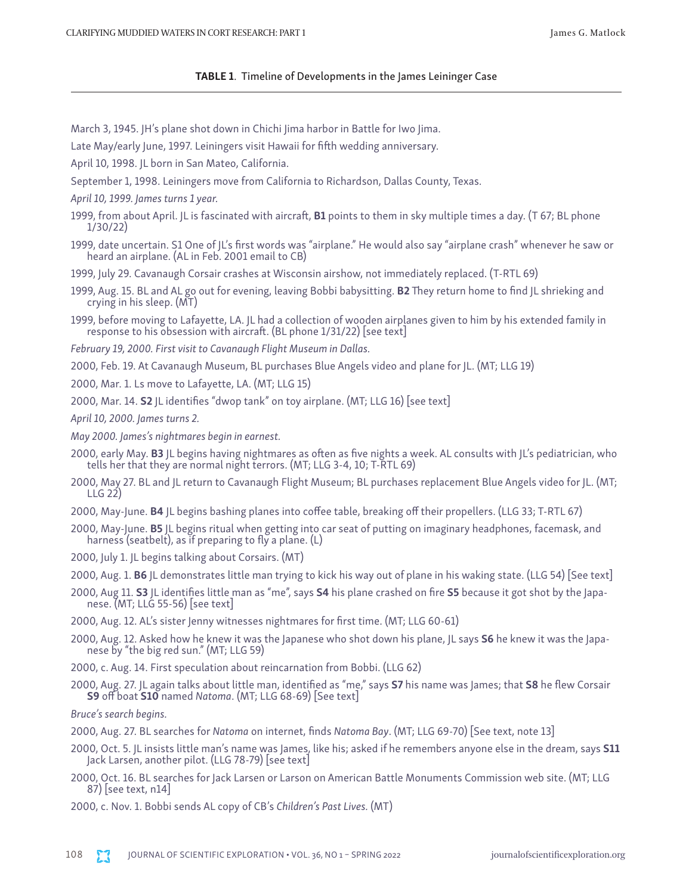#### TABLE 1. Timeline of Developments in the James Leininger Case

- March 3, 1945. JH's plane shot down in Chichi Jima harbor in Battle for Iwo Jima.
- Late May/early June, 1997. Leiningers visit Hawaii for fifth wedding anniversary.
- April 10, 1998. JL born in San Mateo, California.
- September 1, 1998. Leiningers move from California to Richardson, Dallas County, Texas.
- *April 10, 1999. James turns 1 year.*
- 1999, from about April. JL is fascinated with aircraft, B1 points to them in sky multiple times a day. (T 67; BL phone 1/30/22)
- 1999, date uncertain. S1 One of JL's first words was "airplane." He would also say "airplane crash" whenever he saw or heard an airplane. (AL in Feb. 2001 email to CB)
- 1999, July 29. Cavanaugh Corsair crashes at Wisconsin airshow, not immediately replaced. (T-RTL 69)
- 1999, Aug. 15. BL and AL go out for evening, leaving Bobbi babysitting. B2 They return home to find JL shrieking and crying in his sleep. (MT)
- 1999, before moving to Lafayette, LA. JL had a collection of wooden airplanes given to him by his extended family in response to his obsession with aircraft. (BL phone 1/31/22) [see text]
- *February 19, 2000. First visit to Cavanaugh Flight Museum in Dallas.*
- 2000, Feb. 19. At Cavanaugh Museum, BL purchases Blue Angels video and plane for JL. (MT; LLG 19)
- 2000, Mar. 1. Ls move to Lafayette, LA. (MT; LLG 15)
- 2000, Mar. 14. S2 JL identifies "dwop tank" on toy airplane. (MT; LLG 16) [see text]
- *April 10, 2000. James turns 2.*
- *May 2000. James's nightmares begin in earnest.*
- 2000, early May. **B3** JL begins having nightmares as often as five nights a week. AL consults with JL's pediatrician, who tells her that they are normal night terrors. (MT; LLG 3-4, 10; T-RTL 69)
- 2000, May 27. BL and JL return to Cavanaugh Flight Museum; BL purchases replacement Blue Angels video for JL. (MT; LLG 22)
- 2000, May-June. B4 JL begins bashing planes into coffee table, breaking off their propellers. (LLG 33; T-RTL 67)
- 2000, May-June. B5 JL begins ritual when getting into car seat of putting on imaginary headphones, facemask, and harness (seatbelt), as if preparing to fly a plane. (L)
- 2000, July 1. JL begins talking about Corsairs. (MT)
- 2000, Aug. 1. B6 JL demonstrates little man trying to kick his way out of plane in his waking state. (LLG 54) [See text]
- 2000, Aug 11. S3 |L identifies little man as "me", says S4 his plane crashed on fire S5 because it got shot by the Japanese. (MT; LLG 55-56) [see text]
- 2000, Aug. 12. AL's sister Jenny witnesses nightmares for first time. (MT; LLG 60-61)
- 2000, Aug. 12. Asked how he knew it was the Japanese who shot down his plane, JL says 56 he knew it was the Japanese by "the big red sun." (MT; LLG 59)
- 2000, c. Aug. 14. First speculation about reincarnation from Bobbi. (LLG 62)
- 2000, Aug. 27. JL again talks about little man, identified as "me," says S7 his name was James; that S8 he flew Corsair S9 off boat S10 named *Natoma*. (MT; LLG 68-69) [See text]

*Bruce's search begins.*

- 2000, Aug. 27. BL searches for *Natoma* on internet, finds *Natoma Bay*. (MT; LLG 69-70) [See text, note 13]
- 2000, Oct. 5. JL insists little man's name was James, like his; asked if he remembers anyone else in the dream, says S11 Jack Larsen, another pilot. (LLG 78-79) [see text]
- 2000, Oct. 16. BL searches for Jack Larsen or Larson on American Battle Monuments Commission web site. (MT; LLG 87) [see text, n14]
- 2000, c. Nov. 1. Bobbi sends AL copy of CB's *Children's Past Lives.* (MT)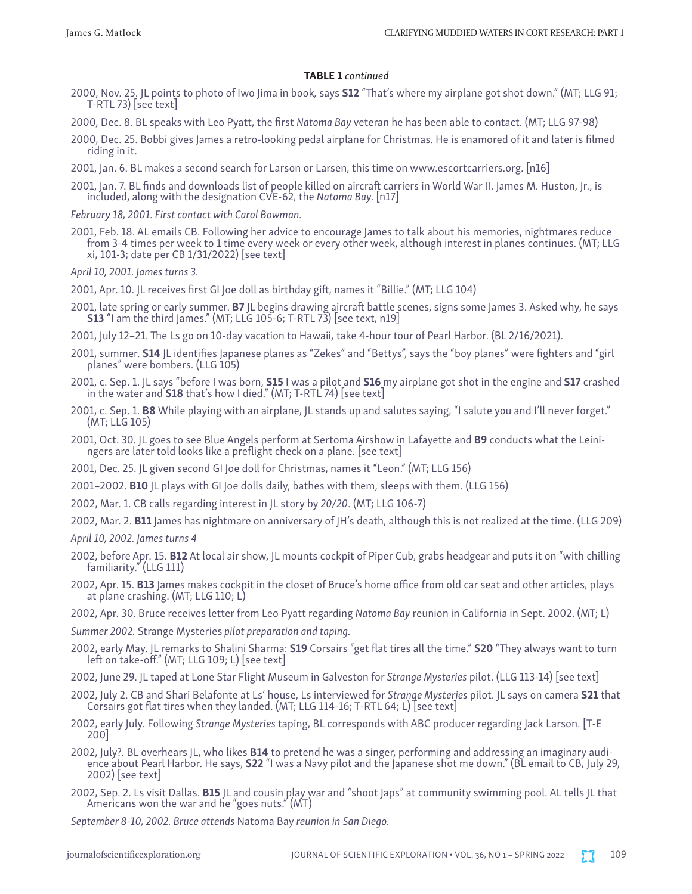#### TABLE 1 *continued*

- 2000, Nov. 25. JL points to photo of Iwo Jima in book*,* says S12 "That's where my airplane got shot down." (MT; LLG 91; T-RTL 73) [see text]
- 2000, Dec. 8. BL speaks with Leo Pyatt, the first *Natoma Bay* veteran he has been able to contact. (MT; LLG 97-98)
- 2000, Dec. 25. Bobbi gives James a retro-looking pedal airplane for Christmas. He is enamored of it and later is filmed riding in it.
- 2001, Jan. 6. BL makes a second search for Larson or Larsen, this time on www.escortcarriers.org. [n16]
- 2001, Jan. 7. BL finds and downloads list of people killed on aircraft carriers in World War II. James M. Huston, Jr., is included, along with the designation CVE-62, the *Natoma Bay.* [n17]
- *February 18, 2001. First contact with Carol Bowman.*
- 2001, Feb. 18. AL emails CB. Following her advice to encourage James to talk about his memories, nightmares reduce from 3-4 times per week to 1 time every week or every other week, although interest in planes continues. (MT; LLG xi, 101-3; date per CB 1/31/2022) [see text]

*April 10, 2001. James turns 3.*

- 2001, Apr. 10. JL receives first GI Joe doll as birthday gift, names it "Billie." (MT; LLG 104)
- 2001, late spring or early summer. **B7** JL begins drawing aircraft battle scenes, signs some James 3. Asked why, he says **S13** "I am the third James." (MT; LLG 105-6; T-RTL 73) [see text, n19]
- 2001, July 12–21. The Ls go on 10-day vacation to Hawaii, take 4-hour tour of Pearl Harbor. (BL 2/16/2021).
- 2001, summer. **S14** JL identifies Japanese planes as "Zekes" and "Bettys", says the "boy planes" were fighters and "girl planes" were bombers. (LLG 105)
- 2001, c. Sep. 1. JL says "before I was born, **S15** I was a pilot and **S16** my airplane got shot in the engine and **S17** crashed in the water and **S18** that's how I died." (MT; T-RTL 74) [see text]
- 2001, c. Sep. 1. B8 While playing with an airplane, JL stands up and salutes saying, "I salute you and I'll never forget." (MT; LLG 105)
- 2001, Oct. 30. JL goes to see Blue Angels perform at Sertoma Airshow in Lafayette and B9 conducts what the Leini- ngers are later told looks like a preflight check on a plane. [see text]
- 2001, Dec. 25. JL given second GI Joe doll for Christmas, names it "Leon." (MT; LLG 156)
- 2001–2002. B10 JL plays with GI Joe dolls daily, bathes with them, sleeps with them. (LLG 156)
- 2002, Mar. 1. CB calls regarding interest in JL story by *20/20*. (MT; LLG 106-7)
- 2002, Mar. 2. B11 James has nightmare on anniversary of JH's death, although this is not realized at the time. (LLG 209)

*April 10, 2002. James turns 4*

- 2002, before Apr. 15. B12 At local air show, JL mounts cockpit of Piper Cub, grabs headgear and puts it on "with chilling familiarity." (LLG 111)
- 2002, Apr. 15. B13 James makes cockpit in the closet of Bruce's home office from old car seat and other articles, plays at plane crashing. (MT; LLG 110; L)
- 2002, Apr. 30. Bruce receives letter from Leo Pyatt regarding *Natoma Bay* reunion in California in Sept. 2002. (MT; L)

*Summer 2002.* Strange Mysteries *pilot preparation and taping.*

- 2002, early May. JL remarks to Shalini Sharma: S19 Corsairs "get flat tires all the time." S20 "They always want to turn left on take-off." (MT; LLG 109; L) [see text]
- 2002, June 29. JL taped at Lone Star Flight Museum in Galveston for *Strange Mysteries* pilot. (LLG 113-14) [see text]
- 2002, July 2. CB and Shari Belafonte at Ls' house, Ls interviewed for *Strange Mysteries* pilot. JL says on camera S21 that Corsairs got flat tires when they landed. (MT; LLG 114-16; T-RTL 64; L) [see text]
- 2002, early July. Following *Strange Mysteries* taping, BL corresponds with ABC producer regarding Jack Larson. [T-E 200]
- 2002, July?. BL overhears JL, who likes B14 to pretend he was a singer, performing and addressing an imaginary audience about Pearl Harbor. He says, S22 "I was a Navy pilot and the Japanese shot me down." (BL email to CB, July 29, 2002) [see text]
- 2002, Sep. 2. Ls visit Dallas. B15 JL and cousin play war and "shoot Japs" at community swimming pool. AL tells JL that Americans won the war and he "goes nuts." (MT)

*September 8-10, 2002. Bruce attends* Natoma Bay *reunion in San Diego.*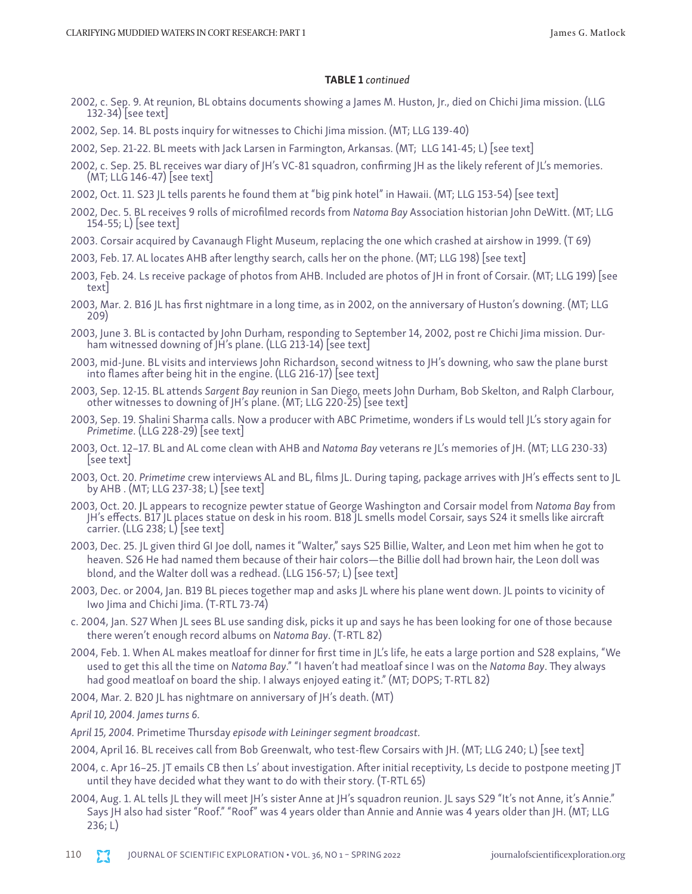#### TABLE 1 *continued*

- 2002, c. Sep. 9. At reunion, BL obtains documents showing a James M. Huston, Jr., died on Chichi Jima mission. (LLG 132-34) [see text]
- 2002, Sep. 14. BL posts inquiry for witnesses to Chichi Jima mission. (MT; LLG 139-40)
- 2002, Sep. 21-22. BL meets with Jack Larsen in Farmington, Arkansas. (MT; LLG 141-45; L) [see text]
- 2002, c. Sep. 25. BL receives war diary of JH's VC-81 squadron, confirming JH as the likely referent of JL's memories. (MT; LLG 146-47) [see text]
- 2002, Oct. 11. S23 JL tells parents he found them at "big pink hotel" in Hawaii. (MT; LLG 153-54) [see text]
- 2002, Dec. 5. BL receives 9 rolls of microfilmed records from *Natoma Bay* Association historian John DeWitt. (MT; LLG 154-55; L) [see text]
- 2003. Corsair acquired by Cavanaugh Flight Museum, replacing the one which crashed at airshow in 1999. (T 69)
- 2003, Feb. 17. AL locates AHB after lengthy search, calls her on the phone. (MT; LLG 198) [see text]
- 2003, Feb. 24. Ls receive package of photos from AHB. Included are photos of JH in front of Corsair. (MT; LLG 199) [see text]
- 2003, Mar. 2. B16 JL has first nightmare in a long time, as in 2002, on the anniversary of Huston's downing. (MT; LLG 209)
- 2003, June 3. BL is contacted by John Durham, responding to September 14, 2002, post re Chichi Jima mission. Durham witnessed downing of JH's plane. (LLG 213-14) [see text]
- 2003, mid-June. BL visits and interviews John Richardson, second witness to JH's downing, who saw the plane burst into flames after being hit in the engine. (LLG 216-17) [see text]
- 2003, Sep. 12-15. BL attends *Sargent Bay* reunion in San Diego, meets John Durham, Bob Skelton, and Ralph Clarbour, other witnesses to downing of JH's plane. (MT; LLG 220-25) [see text]
- 2003, Sep. 19. Shalini Sharma calls. Now a producer with ABC Primetime, wonders if Ls would tell JL's story again for *Primetime.* (LLG 228-29) | see text |
- 2003, Oct. 12–17. BL and AL come clean with AHB and *Natoma Bay* veterans re JL's memories of JH. (MT; LLG 230-33) [see text]
- 2003, Oct. 20. *Primetime* crew interviews AL and BL, films JL. During taping, package arrives with JH's effects sent to JL by AHB . (MT; LLG 237-38; L) [see text]
- 2003, Oct. 20. JL appears to recognize pewter statue of George Washington and Corsair model from *Natoma Bay* from JH's effects. B17 JL places statue on desk in his room. B18 JL smells model Corsair, says S24 it smells like aircraft carrier. (LLG 238; L) [see text]
- 2003, Dec. 25. JL given third GI Joe doll, names it "Walter," says S25 Billie, Walter, and Leon met him when he got to heaven. S26 He had named them because of their hair colors—the Billie doll had brown hair, the Leon doll was blond, and the Walter doll was a redhead. (LLG 156-57; L) [see text]
- 2003, Dec. or 2004, Jan. B19 BL pieces together map and asks JL where his plane went down. JL points to vicinity of Iwo Jima and Chichi Jima. (T-RTL 73-74)
- c. 2004, Jan. S27 When JL sees BL use sanding disk, picks it up and says he has been looking for one of those because there weren't enough record albums on *Natoma Bay*. (T-RTL 82)
- 2004, Feb. 1. When AL makes meatloaf for dinner for first time in JL's life, he eats a large portion and S28 explains, "We used to get this all the time on *Natoma Bay*." "I haven't had meatloaf since I was on the *Natoma Bay*. They always had good meatloaf on board the ship. I always enjoyed eating it." (MT; DOPS; T-RTL 82)
- 2004, Mar. 2. B20 JL has nightmare on anniversary of JH's death. (MT)

*April 10, 2004. James turns 6.*

*April 15, 2004.* Primetime Thursday *episode with Leininger segment broadcast.*

- 2004, April 16. BL receives call from Bob Greenwalt, who test-flew Corsairs with JH. (MT; LLG 240; L) [see text]
- 2004, c. Apr 16–25. JT emails CB then Ls' about investigation. After initial receptivity, Ls decide to postpone meeting JT until they have decided what they want to do with their story. (T-RTL 65)
- 2004, Aug. 1. AL tells JL they will meet JH's sister Anne at JH's squadron reunion. JL says S29 "It's not Anne, it's Annie." Says JH also had sister "Roof." "Roof" was 4 years older than Annie and Annie was 4 years older than JH. (MT; LLG 236; L)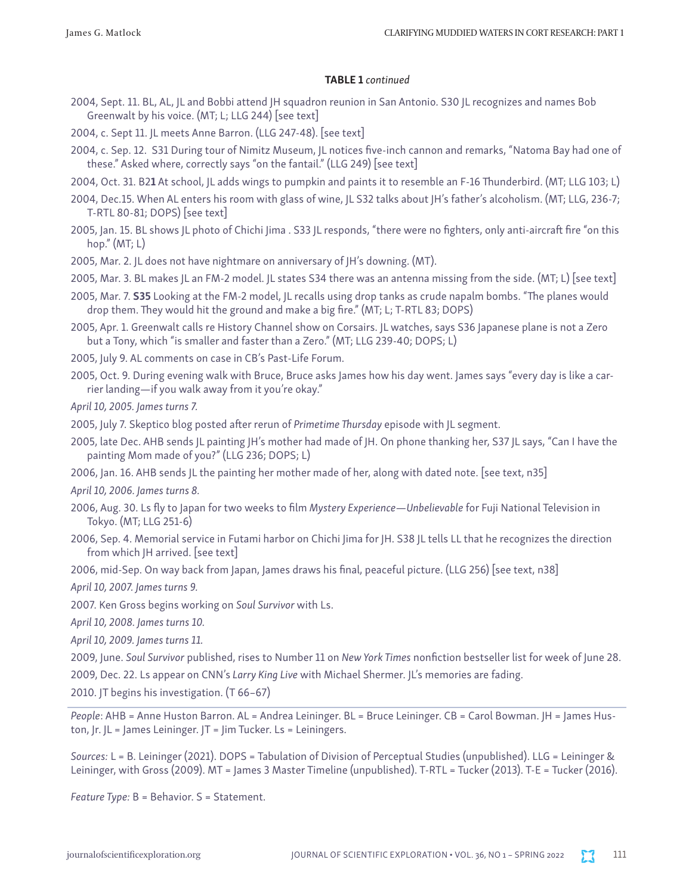# TABLE 1 *continued*

- 2004, Sept. 11. BL, AL, JL and Bobbi attend JH squadron reunion in San Antonio. S30 JL recognizes and names Bob Greenwalt by his voice. (MT; L; LLG 244) [see text]
- 2004, c. Sept 11. JL meets Anne Barron. (LLG 247-48). [see text]
- 2004, c. Sep. 12. S31 During tour of Nimitz Museum, JL notices five-inch cannon and remarks, "Natoma Bay had one of these." Asked where, correctly says "on the fantail." (LLG 249) [see text]
- 2004, Oct. 31. B21 At school, JL adds wings to pumpkin and paints it to resemble an F-16 Thunderbird. (MT; LLG 103; L)
- 2004, Dec.15. When AL enters his room with glass of wine, JL S32 talks about JH's father's alcoholism. (MT; LLG, 236-7; T-RTL 80-81; DOPS) [see text]
- 2005, Jan. 15. BL shows JL photo of Chichi Jima . S33 JL responds, "there were no fighters, only anti-aircraft fire "on this hop." (MT; L)
- 2005, Mar. 2. JL does not have nightmare on anniversary of JH's downing. (MT).
- 2005, Mar. 3. BL makes JL an FM-2 model. JL states S34 there was an antenna missing from the side. (MT; L) [see text]
- 2005, Mar. 7. S35 Looking at the FM-2 model, JL recalls using drop tanks as crude napalm bombs. "The planes would drop them. They would hit the ground and make a big fire." (MT; L; T-RTL 83; DOPS)
- 2005, Apr. 1. Greenwalt calls re History Channel show on Corsairs. JL watches, says S36 Japanese plane is not a Zero but a Tony, which "is smaller and faster than a Zero." (MT; LLG 239-40; DOPS; L)
- 2005, July 9. AL comments on case in CB's Past-Life Forum.
- 2005, Oct. 9. During evening walk with Bruce, Bruce asks James how his day went. James says "every day is like a carrier landing—if you walk away from it you're okay."

*April 10, 2005. James turns 7.*

- 2005, July 7. Skeptico blog posted after rerun of *Primetime Thursday* episode with JL segment.
- 2005, late Dec. AHB sends JL painting JH's mother had made of JH. On phone thanking her, S37 JL says, "Can I have the painting Mom made of you?" (LLG 236; DOPS; L)
- 2006, Jan. 16. AHB sends JL the painting her mother made of her, along with dated note. [see text, n35]

*April 10, 2006. James turns 8.*

- 2006, Aug. 30. Ls fly to Japan for two weeks to film *Mystery Experience—Unbelievable* for Fuji National Television in Tokyo. (MT; LLG 251-6)
- 2006, Sep. 4. Memorial service in Futami harbor on Chichi Jima for JH. S38 JL tells LL that he recognizes the direction from which JH arrived. [see text]

2006, mid-Sep. On way back from Japan, James draws his final, peaceful picture. (LLG 256) [see text, n38]

*April 10, 2007. James turns 9.*

2007. Ken Gross begins working on *Soul Survivor* with Ls.

*April 10, 2008. James turns 10.*

*April 10, 2009. James turns 11.*

2009, June. *Soul Survivor* published, rises to Number 11 on *New York Times* nonfiction bestseller list for week of June 28.

2009, Dec. 22. Ls appear on CNN's *Larry King Live* with Michael Shermer. JL's memories are fading.

2010. JT begins his investigation. (T 66–67)

*People*: AHB = Anne Huston Barron. AL = Andrea Leininger. BL = Bruce Leininger. CB = Carol Bowman. JH = James Huston, Jr. JL = James Leininger. JT = Jim Tucker. Ls = Leiningers.

*Sources:* L = B. Leininger (2021). DOPS = Tabulation of Division of Perceptual Studies (unpublished). LLG = Leininger & Leininger, with Gross (2009). MT = James 3 Master Timeline (unpublished). T-RTL = Tucker (2013). T-E = Tucker (2016).

*Feature Type:* B = Behavior. S = Statement.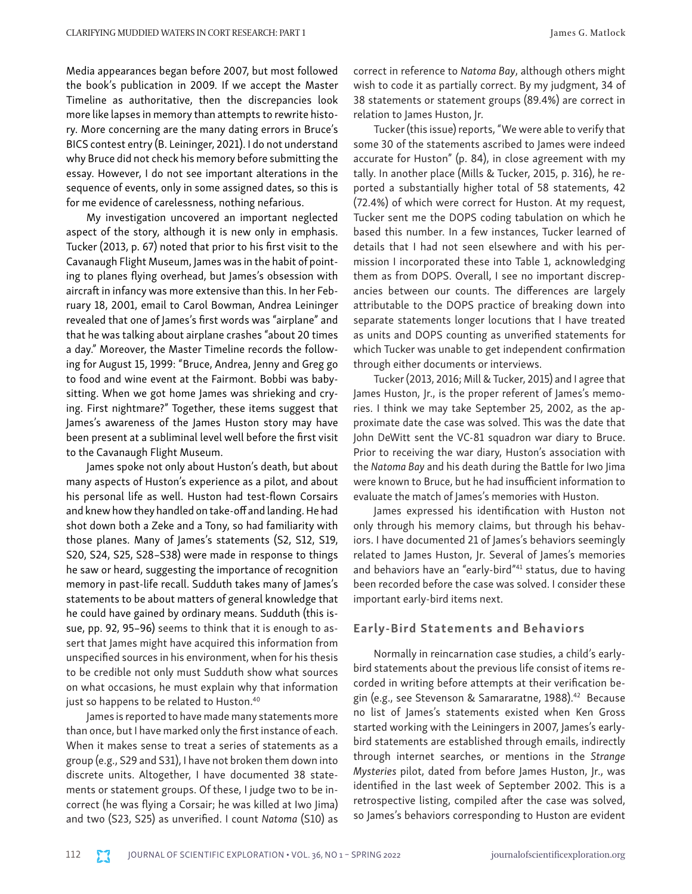Media appearances began before 2007, but most followed the book's publication in 2009. If we accept the Master Timeline as authoritative, then the discrepancies look more like lapses in memory than attempts to rewrite history. More concerning are the many dating errors in Bruce's BICS contest entry (B. Leininger, 2021). I do not understand why Bruce did not check his memory before submitting the essay. However, I do not see important alterations in the sequence of events, only in some assigned dates, so this is for me evidence of carelessness, nothing nefarious.

My investigation uncovered an important neglected aspect of the story, although it is new only in emphasis. Tucker (2013, p. 67) noted that prior to his first visit to the Cavanaugh Flight Museum, James was in the habit of pointing to planes flying overhead, but James's obsession with aircraft in infancy was more extensive than this. In her February 18, 2001, email to Carol Bowman, Andrea Leininger revealed that one of James's first words was "airplane" and that he was talking about airplane crashes "about 20 times a day." Moreover, the Master Timeline records the following for August 15, 1999: "Bruce, Andrea, Jenny and Greg go to food and wine event at the Fairmont. Bobbi was babysitting. When we got home James was shrieking and crying. First nightmare?" Together, these items suggest that James's awareness of the James Huston story may have been present at a subliminal level well before the first visit to the Cavanaugh Flight Museum.

James spoke not only about Huston's death, but about many aspects of Huston's experience as a pilot, and about his personal life as well. Huston had test-flown Corsairs and knew how they handled on take-off and landing. He had shot down both a Zeke and a Tony, so had familiarity with those planes. Many of James's statements (S2, S12, S19, S20, S24, S25, S28–S38) were made in response to things he saw or heard, suggesting the importance of recognition memory in past-life recall. Sudduth takes many of James's statements to be about matters of general knowledge that he could have gained by ordinary means. Sudduth (this issue, pp. 92, 95–96) seems to think that it is enough to assert that James might have acquired this information from unspecified sources in his environment, when for his thesis to be credible not only must Sudduth show what sources on what occasions, he must explain why that information just so happens to be related to Huston.<sup>40</sup>

James is reported to have made many statements more than once, but I have marked only the first instance of each. When it makes sense to treat a series of statements as a group (e.g., S29 and S31), I have not broken them down into discrete units. Altogether, I have documented 38 statements or statement groups. Of these, I judge two to be incorrect (he was flying a Corsair; he was killed at Iwo Jima) and two (S23, S25) as unverified. I count *Natoma* (S10) as

correct in reference to *Natoma Bay*, although others might wish to code it as partially correct. By my judgment, 34 of 38 statements or statement groups (89.4%) are correct in relation to James Huston, Jr.

Tucker (this issue) reports, "We were able to verify that some 30 of the statements ascribed to James were indeed accurate for Huston" (p. 84), in close agreement with my tally. In another place (Mills & Tucker, 2015, p. 316), he reported a substantially higher total of 58 statements, 42 (72.4%) of which were correct for Huston. At my request, Tucker sent me the DOPS coding tabulation on which he based this number. In a few instances, Tucker learned of details that I had not seen elsewhere and with his permission I incorporated these into Table 1, acknowledging them as from DOPS. Overall, I see no important discrepancies between our counts. The differences are largely attributable to the DOPS practice of breaking down into separate statements longer locutions that I have treated as units and DOPS counting as unverified statements for which Tucker was unable to get independent confirmation through either documents or interviews.

Tucker (2013, 2016; Mill & Tucker, 2015) and I agree that James Huston, Jr., is the proper referent of James's memories. I think we may take September 25, 2002, as the approximate date the case was solved. This was the date that John DeWitt sent the VC-81 squadron war diary to Bruce. Prior to receiving the war diary, Huston's association with the *Natoma Bay* and his death during the Battle for Iwo Jima were known to Bruce, but he had insufficient information to evaluate the match of James's memories with Huston.

James expressed his identification with Huston not only through his memory claims, but through his behaviors. I have documented 21 of James's behaviors seemingly related to James Huston, Jr. Several of James's memories and behaviors have an "early-bird"<sup>41</sup> status, due to having been recorded before the case was solved. I consider these important early-bird items next.

#### Early-Bird Statements and Behaviors

Normally in reincarnation case studies, a child's earlybird statements about the previous life consist of items recorded in writing before attempts at their verification begin (e.g., see Stevenson & Samararatne, 1988).<sup>42</sup> Because no list of James's statements existed when Ken Gross started working with the Leiningers in 2007, James's earlybird statements are established through emails, indirectly through internet searches, or mentions in the *Strange Mysteries* pilot, dated from before James Huston, Jr., was identified in the last week of September 2002. This is a retrospective listing, compiled after the case was solved, so James's behaviors corresponding to Huston are evident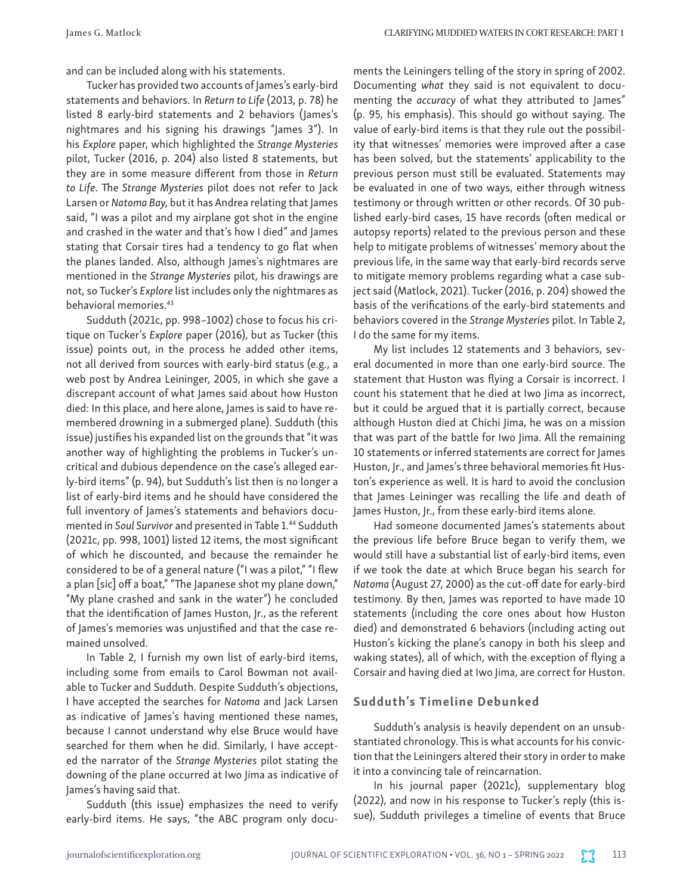and can be included along with his statements.

Tucker has provided two accounts of James's early-bird statements and behaviors. In *Return to Life* (2013, p. 78) he listed 8 early-bird statements and 2 behaviors (James's nightmares and his signing his drawings "James 3"). In his *Explore* paper, which highlighted the *Strange Mysteries* pilot, Tucker (2016, p. 204) also listed 8 statements, but they are in some measure different from those in *Return to Life*. The *Strange Mysteries* pilot does not refer to Jack Larsen or *Natoma Bay,* but it has Andrea relating that James said, "I was a pilot and my airplane got shot in the engine and crashed in the water and that's how I died" and James stating that Corsair tires had a tendency to go flat when the planes landed. Also, although James's nightmares are mentioned in the *Strange Mysteries* pilot, his drawings are not, so Tucker's *Explore* list includes only the nightmares as behavioral memories.43

Sudduth (2021c, pp. 998–1002) chose to focus his critique on Tucker's *Explore* paper (2016), but as Tucker (this issue) points out, in the process he added other items, not all derived from sources with early-bird status (e.g., a web post by Andrea Leininger, 2005, in which she gave a discrepant account of what James said about how Huston died: In this place, and here alone, James is said to have remembered drowning in a submerged plane). Sudduth (this issue) justifies his expanded list on the grounds that "it was another way of highlighting the problems in Tucker's uncritical and dubious dependence on the case's alleged early-bird items" (p. 94), but Sudduth's list then is no longer a list of early-bird items and he should have considered the full inventory of James's statements and behaviors documented in *Soul Survivor* and presented in Table 1.44 Sudduth (2021c, pp. 998, 1001) listed 12 items, the most significant of which he discounted, and because the remainder he considered to be of a general nature ("I was a pilot," "I flew a plan [sic] off a boat," "The Japanese shot my plane down," "My plane crashed and sank in the water") he concluded that the identification of James Huston, Jr., as the referent of James's memories was unjustified and that the case remained unsolved.

In Table 2, I furnish my own list of early-bird items, including some from emails to Carol Bowman not available to Tucker and Sudduth. Despite Sudduth's objections, I have accepted the searches for *Natoma* and Jack Larsen as indicative of James's having mentioned these names, because I cannot understand why else Bruce would have searched for them when he did. Similarly, I have accepted the narrator of the *Strange Mysteries* pilot stating the downing of the plane occurred at Iwo Jima as indicative of James's having said that.

Sudduth (this issue) emphasizes the need to verify early-bird items. He says, "the ABC program only documents the Leiningers telling of the story in spring of 2002. Documenting *what* they said is not equivalent to documenting the *accuracy* of what they attributed to James" (p. 95, his emphasis). This should go without saying. The value of early-bird items is that they rule out the possibility that witnesses' memories were improved after a case has been solved, but the statements' applicability to the previous person must still be evaluated. Statements may be evaluated in one of two ways, either through witness testimony or through written or other records. Of 30 published early-bird cases, 15 have records (often medical or autopsy reports) related to the previous person and these help to mitigate problems of witnesses' memory about the previous life, in the same way that early-bird records serve to mitigate memory problems regarding what a case subject said (Matlock, 2021). Tucker (2016, p. 204) showed the basis of the verifications of the early-bird statements and behaviors covered in the *Strange Mysteries* pilot. In Table 2, I do the same for my items.

My list includes 12 statements and 3 behaviors, several documented in more than one early-bird source. The statement that Huston was flying a Corsair is incorrect. I count his statement that he died at Iwo Jima as incorrect, but it could be argued that it is partially correct, because although Huston died at Chichi Jima, he was on a mission that was part of the battle for Iwo Jima. All the remaining 10 statements or inferred statements are correct for James Huston, Jr., and James's three behavioral memories fit Huston's experience as well. It is hard to avoid the conclusion that James Leininger was recalling the life and death of James Huston, Jr., from these early-bird items alone.

Had someone documented James's statements about the previous life before Bruce began to verify them, we would still have a substantial list of early-bird items, even if we took the date at which Bruce began his search for *Natoma* (August 27, 2000) as the cut-off date for early-bird testimony. By then, James was reported to have made 10 statements (including the core ones about how Huston died) and demonstrated 6 behaviors (including acting out Huston's kicking the plane's canopy in both his sleep and waking states), all of which, with the exception of flying a Corsair and having died at Iwo Jima, are correct for Huston.

## Sudduth's Timeline Debunked

Sudduth's analysis is heavily dependent on an unsubstantiated chronology. This is what accounts for his conviction that the Leiningers altered their story in order to make it into a convincing tale of reincarnation.

In his journal paper (2021c), supplementary blog (2022), and now in his response to Tucker's reply (this issue), Sudduth privileges a timeline of events that Bruce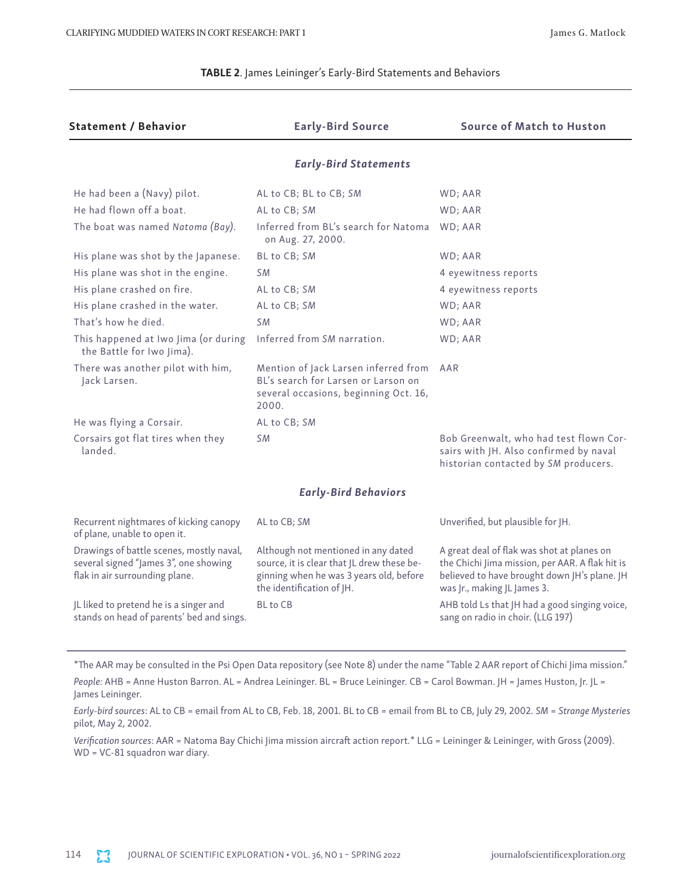#### TABLE 2. James Leininger's Early-Bird Statements and Behaviors

| <b>Statement / Behavior</b>                                                                                         | <b>Early-Bird Source</b>                                                                                                                                  | <b>Source of Match to Huston</b>                                                                                                                                             |  |  |  |
|---------------------------------------------------------------------------------------------------------------------|-----------------------------------------------------------------------------------------------------------------------------------------------------------|------------------------------------------------------------------------------------------------------------------------------------------------------------------------------|--|--|--|
| <b>Early-Bird Statements</b>                                                                                        |                                                                                                                                                           |                                                                                                                                                                              |  |  |  |
| He had been a (Navy) pilot.                                                                                         | AL to CB; BL to CB; SM                                                                                                                                    | WD; AAR                                                                                                                                                                      |  |  |  |
| He had flown off a boat.                                                                                            | AL to CB; SM                                                                                                                                              | WD; AAR                                                                                                                                                                      |  |  |  |
| The boat was named Natoma (Bay).                                                                                    | Inferred from BL's search for Natoma<br>on Aug. 27, 2000.                                                                                                 | WD; AAR                                                                                                                                                                      |  |  |  |
| His plane was shot by the Japanese.                                                                                 | BL to CB; SM                                                                                                                                              | WD; AAR                                                                                                                                                                      |  |  |  |
| His plane was shot in the engine.                                                                                   | S M                                                                                                                                                       | 4 eyewitness reports                                                                                                                                                         |  |  |  |
| His plane crashed on fire.                                                                                          | AL to CB; SM                                                                                                                                              | 4 eyewitness reports                                                                                                                                                         |  |  |  |
| His plane crashed in the water.                                                                                     | AL to CB; SM                                                                                                                                              | WD; AAR                                                                                                                                                                      |  |  |  |
| That's how he died.                                                                                                 | <b>SM</b>                                                                                                                                                 | WD; AAR                                                                                                                                                                      |  |  |  |
| This happened at Iwo Jima (or during<br>the Battle for Iwo Jima).                                                   | Inferred from SM narration.                                                                                                                               | WD; AAR                                                                                                                                                                      |  |  |  |
| There was another pilot with him,<br>Jack Larsen.                                                                   | Mention of Jack Larsen inferred from<br>BL's search for Larsen or Larson on<br>several occasions, beginning Oct. 16,<br>2000.                             | AAR                                                                                                                                                                          |  |  |  |
| He was flying a Corsair.                                                                                            | AL to CB; SM                                                                                                                                              |                                                                                                                                                                              |  |  |  |
| Corsairs got flat tires when they<br>landed.                                                                        | <b>SM</b>                                                                                                                                                 | Bob Greenwalt, who had test flown Cor-<br>sairs with JH. Also confirmed by naval<br>historian contacted by SM producers.                                                     |  |  |  |
| <b>Early-Bird Behaviors</b>                                                                                         |                                                                                                                                                           |                                                                                                                                                                              |  |  |  |
| Recurrent nightmares of kicking canopy<br>of plane, unable to open it.                                              | AL to CB; SM                                                                                                                                              | Unverified, but plausible for JH.                                                                                                                                            |  |  |  |
| Drawings of battle scenes, mostly naval,<br>several signed "James 3", one showing<br>flak in air surrounding plane. | Although not mentioned in any dated<br>source, it is clear that JL drew these be-<br>ginning when he was 3 years old, before<br>the identification of JH. | A great deal of flak was shot at planes on<br>the Chichi Jima mission, per AAR. A flak hit is<br>believed to have brought down JH's plane. JH<br>was Jr., making JL James 3. |  |  |  |
| JL liked to pretend he is a singer and<br>stands on head of parents' bed and sings.                                 | <b>BL</b> to CB                                                                                                                                           | AHB told Ls that JH had a good singing voice,<br>sang on radio in choir. (LLG 197)                                                                                           |  |  |  |

\*The AAR may be consulted in the Psi Open Data repository (see Note 8) under the name "Table 2 AAR report of Chichi Jima mission."

*People:* AHB = Anne Huston Barron. AL = Andrea Leininger. BL = Bruce Leininger. CB = Carol Bowman. JH = James Huston, Jr. JL = James Leininger.

*Early-bird sources*: AL to CB = email from AL to CB, Feb. 18, 2001. BL to CB = email from BL to CB, July 29, 2002. *SM* = *Strange Mysteries* pilot, May 2, 2002.

*Verification sources*: AAR = Natoma Bay Chichi Jima mission aircraft action report.\* LLG = Leininger & Leininger, with Gross (2009). WD = VC-81 squadron war diary.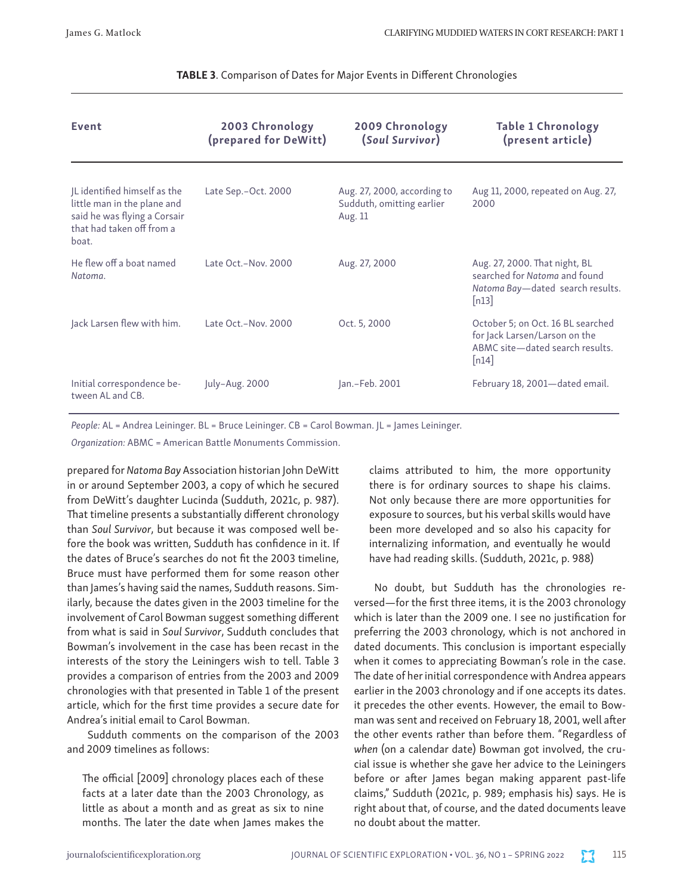| <b>Event</b>                                                                                                                      | 2003 Chronology<br>(prepared for DeWitt) | 2009 Chronology<br>(Soul Survivor)                                  | <b>Table 1 Chronology</b><br>(present article)                                                                                 |
|-----------------------------------------------------------------------------------------------------------------------------------|------------------------------------------|---------------------------------------------------------------------|--------------------------------------------------------------------------------------------------------------------------------|
| JL identified himself as the<br>little man in the plane and<br>said he was flying a Corsair<br>that had taken off from a<br>boat. | Late Sep. - Oct. 2000                    | Aug. 27, 2000, according to<br>Sudduth, omitting earlier<br>Aug. 11 | Aug 11, 2000, repeated on Aug. 27,<br>2000                                                                                     |
| He flew off a boat named<br>Natoma.                                                                                               | Late Oct.-Nov. 2000                      | Aug. 27, 2000                                                       | Aug. 27, 2000. That night, BL<br>searched for Natoma and found<br>Natoma Bay-dated search results.<br>[n13]                    |
| Jack Larsen flew with him.                                                                                                        | Late Oct.-Nov. 2000                      | Oct. 5, 2000                                                        | October 5; on Oct. 16 BL searched<br>for Jack Larsen/Larson on the<br>ABMC site-dated search results.<br>$\lfloor n14 \rfloor$ |
| Initial correspondence be-<br>tween AL and CB.                                                                                    | July-Aug. 2000                           | Jan.-Feb. 2001                                                      | February 18, 2001-dated email.                                                                                                 |

### TABLE 3. Comparison of Dates for Major Events in Different Chronologies

*People:* AL = Andrea Leininger. BL = Bruce Leininger. CB = Carol Bowman. JL = James Leininger.

*Organization:* ABMC = American Battle Monuments Commission.

prepared for *Natoma Bay* Association historian John DeWitt in or around September 2003, a copy of which he secured from DeWitt's daughter Lucinda (Sudduth, 2021c, p. 987). That timeline presents a substantially different chronology than *Soul Survivor*, but because it was composed well before the book was written, Sudduth has confidence in it. If the dates of Bruce's searches do not fit the 2003 timeline, Bruce must have performed them for some reason other than James's having said the names, Sudduth reasons. Similarly, because the dates given in the 2003 timeline for the involvement of Carol Bowman suggest something different from what is said in *Soul Survivor*, Sudduth concludes that Bowman's involvement in the case has been recast in the interests of the story the Leiningers wish to tell. Table 3 provides a comparison of entries from the 2003 and 2009 chronologies with that presented in Table 1 of the present article, which for the first time provides a secure date for Andrea's initial email to Carol Bowman.

Sudduth comments on the comparison of the 2003 and 2009 timelines as follows:

The official [2009] chronology places each of these facts at a later date than the 2003 Chronology, as little as about a month and as great as six to nine months. The later the date when James makes the claims attributed to him, the more opportunity there is for ordinary sources to shape his claims. Not only because there are more opportunities for exposure to sources, but his verbal skills would have been more developed and so also his capacity for internalizing information, and eventually he would have had reading skills. (Sudduth, 2021c, p. 988)

No doubt, but Sudduth has the chronologies reversed—for the first three items, it is the 2003 chronology which is later than the 2009 one. I see no justification for preferring the 2003 chronology, which is not anchored in dated documents. This conclusion is important especially when it comes to appreciating Bowman's role in the case. The date of her initial correspondence with Andrea appears earlier in the 2003 chronology and if one accepts its dates. it precedes the other events. However, the email to Bowman was sent and received on February 18, 2001, well after the other events rather than before them. "Regardless of *when* (on a calendar date) Bowman got involved, the crucial issue is whether she gave her advice to the Leiningers before or after James began making apparent past-life claims," Sudduth (2021c, p. 989; emphasis his) says. He is right about that, of course, and the dated documents leave no doubt about the matter.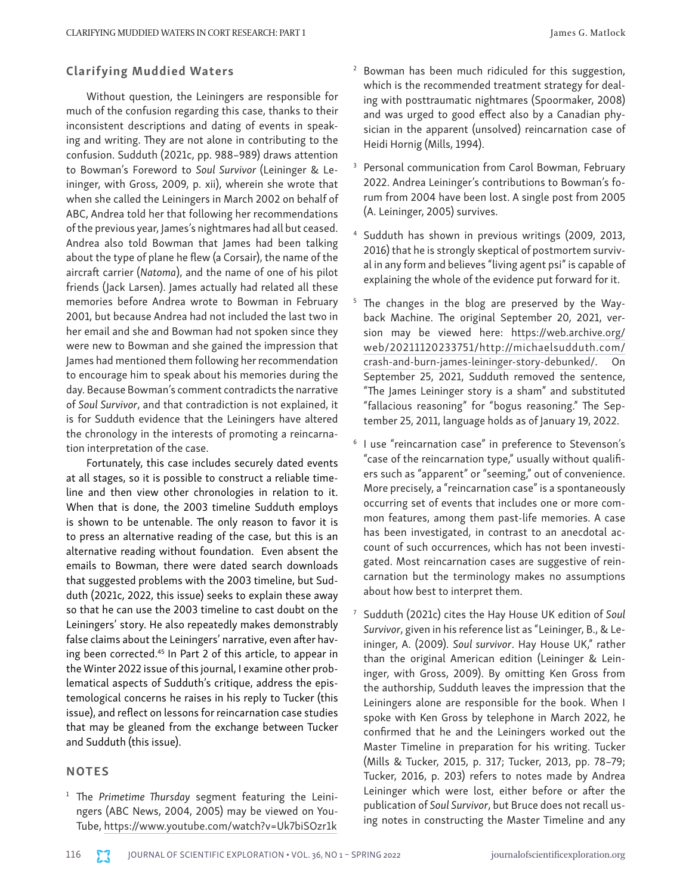#### Clarifying Muddied Waters

Without question, the Leiningers are responsible for much of the confusion regarding this case, thanks to their inconsistent descriptions and dating of events in speaking and writing. They are not alone in contributing to the confusion. Sudduth (2021c, pp. 988–989) draws attention to Bowman's Foreword to *Soul Survivor* (Leininger & Leininger, with Gross, 2009, p. xii), wherein she wrote that when she called the Leiningers in March 2002 on behalf of ABC, Andrea told her that following her recommendations of the previous year, James's nightmares had all but ceased. Andrea also told Bowman that James had been talking about the type of plane he flew (a Corsair), the name of the aircraft carrier (*Natoma*), and the name of one of his pilot friends (Jack Larsen). James actually had related all these memories before Andrea wrote to Bowman in February 2001, but because Andrea had not included the last two in her email and she and Bowman had not spoken since they were new to Bowman and she gained the impression that James had mentioned them following her recommendation to encourage him to speak about his memories during the day. Because Bowman's comment contradicts the narrative of *Soul Survivor*, and that contradiction is not explained, it is for Sudduth evidence that the Leiningers have altered the chronology in the interests of promoting a reincarnation interpretation of the case.

Fortunately, this case includes securely dated events at all stages, so it is possible to construct a reliable timeline and then view other chronologies in relation to it. When that is done, the 2003 timeline Sudduth employs is shown to be untenable. The only reason to favor it is to press an alternative reading of the case, but this is an alternative reading without foundation. Even absent the emails to Bowman, there were dated search downloads that suggested problems with the 2003 timeline, but Sudduth (2021c, 2022, this issue) seeks to explain these away so that he can use the 2003 timeline to cast doubt on the Leiningers' story. He also repeatedly makes demonstrably false claims about the Leiningers' narrative, even after having been corrected.<sup>45</sup> In Part 2 of this article, to appear in the Winter 2022 issue of this journal, I examine other problematical aspects of Sudduth's critique, address the epistemological concerns he raises in his reply to Tucker (this issue), and reflect on lessons for reincarnation case studies that may be gleaned from the exchange between Tucker and Sudduth (this issue).

### **NOTES**

<sup>1</sup> The *Primetime Thursday* segment featuring the Leiningers (ABC News, 2004, 2005) may be viewed on You-Tube,<https://www.youtube.com/watch?v=Uk7biSOzr1k>

- <sup>2</sup> Bowman has been much ridiculed for this suggestion, which is the recommended treatment strategy for dealing with posttraumatic nightmares (Spoormaker, 2008) and was urged to good effect also by a Canadian physician in the apparent (unsolved) reincarnation case of Heidi Hornig (Mills, 1994).
- Personal communication from Carol Bowman, February 2022. Andrea Leininger's contributions to Bowman's forum from 2004 have been lost. A single post from 2005 (A. Leininger, 2005) survives.
- Sudduth has shown in previous writings (2009, 2013, 2016) that he is strongly skeptical of postmortem survival in any form and believes "living agent psi" is capable of explaining the whole of the evidence put forward for it.
- <sup>5</sup> The changes in the blog are preserved by the Wayback Machine. The original September 20, 2021, version may be viewed here: [https://web.archive.org/](https://web.archive.org/web/20211120233751/http:/michaelsudduth.com/crash-and-burn-james-leininger-story-debunked/) [web/20211120233751/http://michaelsudduth.com/](https://web.archive.org/web/20211120233751/http:/michaelsudduth.com/crash-and-burn-james-leininger-story-debunked/) [crash-and-burn-james-leininger-story-debunked/.](https://web.archive.org/web/20211120233751/http:/michaelsudduth.com/crash-and-burn-james-leininger-story-debunked/) On September 25, 2021, Sudduth removed the sentence, "The James Leininger story is a sham" and substituted "fallacious reasoning" for "bogus reasoning." The September 25, 2011, language holds as of January 19, 2022.
- <sup>6</sup> I use "reincarnation case" in preference to Stevenson's "case of the reincarnation type," usually without qualifiers such as "apparent" or "seeming," out of convenience. More precisely, a "reincarnation case" is a spontaneously occurring set of events that includes one or more common features, among them past-life memories. A case has been investigated, in contrast to an anecdotal account of such occurrences, which has not been investigated. Most reincarnation cases are suggestive of reincarnation but the terminology makes no assumptions about how best to interpret them.
- <sup>7</sup> Sudduth (2021c) cites the Hay House UK edition of *Soul Survivor*, given in his reference list as "Leininger, B., & Leininger, A. (2009). *Soul survivor*. Hay House UK," rather than the original American edition (Leininger & Leininger, with Gross, 2009). By omitting Ken Gross from the authorship, Sudduth leaves the impression that the Leiningers alone are responsible for the book. When I spoke with Ken Gross by telephone in March 2022, he confirmed that he and the Leiningers worked out the Master Timeline in preparation for his writing. Tucker (Mills & Tucker, 2015, p. 317; Tucker, 2013, pp. 78–79; Tucker, 2016, p. 203) refers to notes made by Andrea Leininger which were lost, either before or after the publication of *Soul Survivor*, but Bruce does not recall using notes in constructing the Master Timeline and any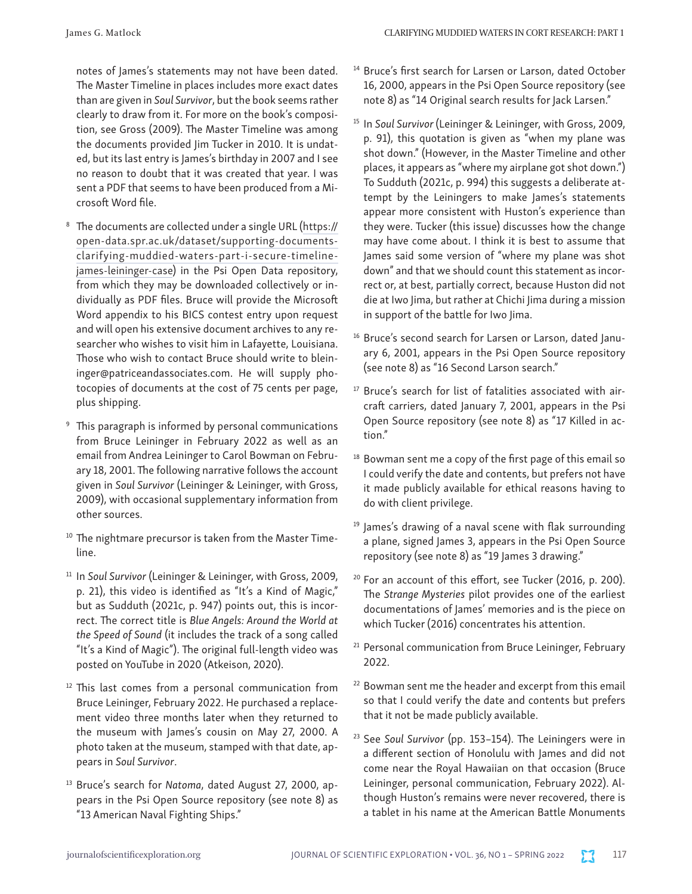notes of James's statements may not have been dated. The Master Timeline in places includes more exact dates than are given in *Soul Survivor*, but the book seems rather clearly to draw from it. For more on the book's composition, see Gross (2009). The Master Timeline was among the documents provided Jim Tucker in 2010. It is undated, but its last entry is James's birthday in 2007 and I see no reason to doubt that it was created that year. I was sent a PDF that seems to have been produced from a Microsoft Word file.

- <sup>8</sup> The documents are collected under a single URL [\(https://](https://open-data.spr.ac.uk/dataset/supporting-documents-clarifying-muddied-waters-part-i-secure-timeline-james-leininger-case) [open-data.spr.ac.uk/dataset/supporting-documents](https://open-data.spr.ac.uk/dataset/supporting-documents-clarifying-muddied-waters-part-i-secure-timeline-james-leininger-case)[clarifying-muddied-waters-part-i-secure-timeline](https://open-data.spr.ac.uk/dataset/supporting-documents-clarifying-muddied-waters-part-i-secure-timeline-james-leininger-case)[james-leininger-case\)](https://open-data.spr.ac.uk/dataset/supporting-documents-clarifying-muddied-waters-part-i-secure-timeline-james-leininger-case) in the Psi Open Data repository, from which they may be downloaded collectively or individually as PDF files. Bruce will provide the Microsoft Word appendix to his BICS contest entry upon request and will open his extensive document archives to any researcher who wishes to visit him in Lafayette, Louisiana. Those who wish to contact Bruce should write to bleininger@patriceandassociates.com. He will supply photocopies of documents at the cost of 75 cents per page, plus shipping.
- <sup>9</sup> This paragraph is informed by personal communications from Bruce Leininger in February 2022 as well as an email from Andrea Leininger to Carol Bowman on February 18, 2001. The following narrative follows the account given in *Soul Survivor* (Leininger & Leininger, with Gross, 2009), with occasional supplementary information from other sources.
- <sup>10</sup> The nightmare precursor is taken from the Master Timeline.
- <sup>11</sup> In *Soul Survivor* (Leininger & Leininger, with Gross, 2009, p. 21), this video is identified as "It's a Kind of Magic," but as Sudduth (2021c, p. 947) points out, this is incorrect. The correct title is *Blue Angels: Around the World at the Speed of Sound* (it includes the track of a song called "It's a Kind of Magic"). The original full-length video was posted on YouTube in 2020 (Atkeison, 2020).
- <sup>12</sup> This last comes from a personal communication from Bruce Leininger, February 2022. He purchased a replacement video three months later when they returned to the museum with James's cousin on May 27, 2000. A photo taken at the museum, stamped with that date, appears in *Soul Survivor*.
- <sup>13</sup> Bruce's search for *Natoma*, dated August 27, 2000, appears in the Psi Open Source repository (see note 8) as "13 American Naval Fighting Ships."
- <sup>14</sup> Bruce's first search for Larsen or Larson, dated October 16, 2000, appears in the Psi Open Source repository (see note 8) as "14 Original search results for Jack Larsen."
- <sup>15</sup> In Soul Survivor (Leininger & Leininger, with Gross, 2009, p. 91), this quotation is given as "when my plane was shot down." (However, in the Master Timeline and other places, it appears as "where my airplane got shot down.") To Sudduth (2021c, p. 994) this suggests a deliberate attempt by the Leiningers to make James's statements appear more consistent with Huston's experience than they were. Tucker (this issue) discusses how the change may have come about. I think it is best to assume that James said some version of "where my plane was shot down" and that we should count this statement as incorrect or, at best, partially correct, because Huston did not die at Iwo Jima, but rather at Chichi Jima during a mission in support of the battle for Iwo Jima.
- <sup>16</sup> Bruce's second search for Larsen or Larson, dated January 6, 2001, appears in the Psi Open Source repository (see note 8) as "16 Second Larson search."
- <sup>17</sup> Bruce's search for list of fatalities associated with aircraft carriers, dated January 7, 2001, appears in the Psi Open Source repository (see note 8) as "17 Killed in action."
- $18$  Bowman sent me a copy of the first page of this email so I could verify the date and contents, but prefers not have it made publicly available for ethical reasons having to do with client privilege.
- <sup>19</sup> James's drawing of a naval scene with flak surrounding a plane, signed James 3, appears in the Psi Open Source repository (see note 8) as "19 James 3 drawing."
- <sup>20</sup> For an account of this effort, see Tucker (2016, p. 200). The *Strange Mysteries* pilot provides one of the earliest documentations of James' memories and is the piece on which Tucker (2016) concentrates his attention.
- <sup>21</sup> Personal communication from Bruce Leininger, February 2022.
- <sup>22</sup> Bowman sent me the header and excerpt from this email so that I could verify the date and contents but prefers that it not be made publicly available.
- <sup>23</sup> See *Soul Survivor* (pp. 153–154). The Leiningers were in a different section of Honolulu with James and did not come near the Royal Hawaiian on that occasion (Bruce Leininger, personal communication, February 2022). Although Huston's remains were never recovered, there is a tablet in his name at the American Battle Monuments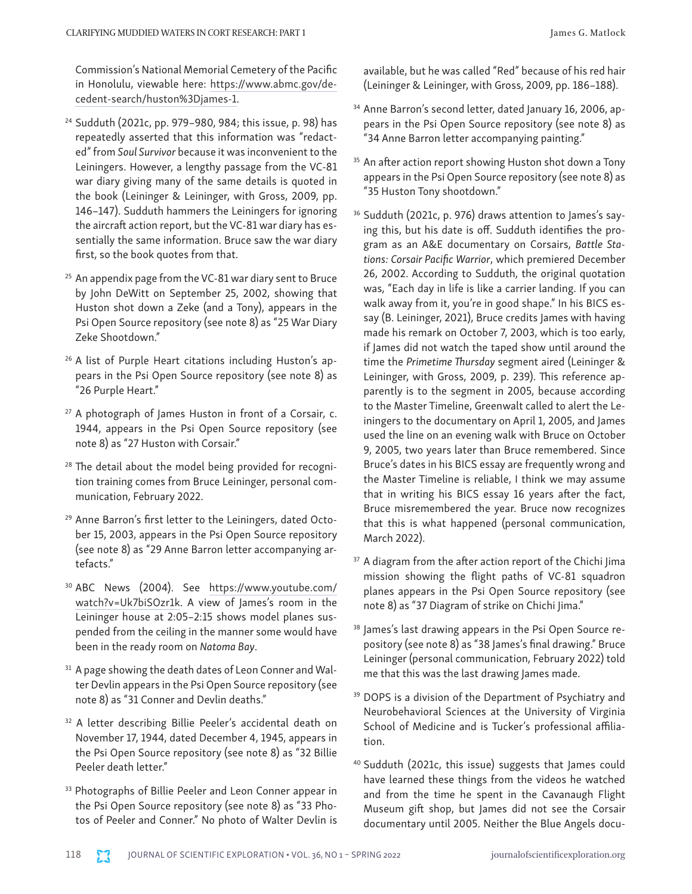Commission's National Memorial Cemetery of the Pacific in Honolulu, viewable here: [https://www.abmc.gov/de](https://www.abmc.gov/decedent-search/huston%3Djames-1)[cedent-search/huston%3Djames-1](https://www.abmc.gov/decedent-search/huston%3Djames-1).

- <sup>24</sup> Sudduth (2021c, pp. 979–980, 984; this issue, p. 98) has repeatedly asserted that this information was "redacted" from *Soul Survivor* because it was inconvenient to the Leiningers. However, a lengthy passage from the VC-81 war diary giving many of the same details is quoted in the book (Leininger & Leininger, with Gross, 2009, pp. 146–147). Sudduth hammers the Leiningers for ignoring the aircraft action report, but the VC-81 war diary has essentially the same information. Bruce saw the war diary first, so the book quotes from that.
- <sup>25</sup> An appendix page from the VC-81 war diary sent to Bruce by John DeWitt on September 25, 2002, showing that Huston shot down a Zeke (and a Tony), appears in the Psi Open Source repository (see note 8) as "25 War Diary Zeke Shootdown."
- <sup>26</sup> A list of Purple Heart citations including Huston's appears in the Psi Open Source repository (see note 8) as "26 Purple Heart."
- $27$  A photograph of James Huston in front of a Corsair, c. 1944, appears in the Psi Open Source repository (see note 8) as "27 Huston with Corsair."
- <sup>28</sup> The detail about the model being provided for recognition training comes from Bruce Leininger, personal communication, February 2022.
- <sup>29</sup> Anne Barron's first letter to the Leiningers, dated October 15, 2003, appears in the Psi Open Source repository (see note 8) as "29 Anne Barron letter accompanying artefacts."
- <sup>30</sup> ABC News (2004). See [https://www.youtube.com/](https://www.youtube.com/watch?v=Uk7biSOzr1k) [watch?v=Uk7biSOzr1k](https://www.youtube.com/watch?v=Uk7biSOzr1k). A view of James's room in the Leininger house at 2:05–2:15 shows model planes suspended from the ceiling in the manner some would have been in the ready room on *Natoma Bay*.
- <sup>31</sup> A page showing the death dates of Leon Conner and Walter Devlin appears in the Psi Open Source repository (see note 8) as "31 Conner and Devlin deaths."
- <sup>32</sup> A letter describing Billie Peeler's accidental death on November 17, 1944, dated December 4, 1945, appears in the Psi Open Source repository (see note 8) as "32 Billie Peeler death letter."
- <sup>33</sup> Photographs of Billie Peeler and Leon Conner appear in the Psi Open Source repository (see note 8) as "33 Photos of Peeler and Conner." No photo of Walter Devlin is

available, but he was called "Red" because of his red hair (Leininger & Leininger, with Gross, 2009, pp. 186–188).

- <sup>34</sup> Anne Barron's second letter, dated January 16, 2006, appears in the Psi Open Source repository (see note 8) as "34 Anne Barron letter accompanying painting."
- <sup>35</sup> An after action report showing Huston shot down a Tony appears in the Psi Open Source repository (see note 8) as "35 Huston Tony shootdown."
- <sup>36</sup> Sudduth (2021c, p. 976) draws attention to James's saying this, but his date is off. Sudduth identifies the program as an A&E documentary on Corsairs, *Battle Stations: Corsair Pacific Warrior*, which premiered December 26, 2002. According to Sudduth, the original quotation was, "Each day in life is like a carrier landing. If you can walk away from it, you're in good shape." In his BICS essay (B. Leininger, 2021), Bruce credits James with having made his remark on October 7, 2003, which is too early, if James did not watch the taped show until around the time the *Primetime Thursday* segment aired (Leininger & Leininger, with Gross, 2009, p. 239). This reference apparently is to the segment in 2005, because according to the Master Timeline, Greenwalt called to alert the Leiningers to the documentary on April 1, 2005, and James used the line on an evening walk with Bruce on October 9, 2005, two years later than Bruce remembered. Since Bruce's dates in his BICS essay are frequently wrong and the Master Timeline is reliable, I think we may assume that in writing his BICS essay 16 years after the fact, Bruce misremembered the year. Bruce now recognizes that this is what happened (personal communication, March 2022).
- <sup>37</sup> A diagram from the after action report of the Chichi Jima mission showing the flight paths of VC-81 squadron planes appears in the Psi Open Source repository (see note 8) as "37 Diagram of strike on Chichi Jima."
- <sup>38</sup> James's last drawing appears in the Psi Open Source repository (see note 8) as "38 James's final drawing." Bruce Leininger (personal communication, February 2022) told me that this was the last drawing James made.
- <sup>39</sup> DOPS is a division of the Department of Psychiatry and Neurobehavioral Sciences at the University of Virginia School of Medicine and is Tucker's professional affiliation.
- <sup>40</sup> Sudduth (2021c, this issue) suggests that James could have learned these things from the videos he watched and from the time he spent in the Cavanaugh Flight Museum gift shop, but James did not see the Corsair documentary until 2005. Neither the Blue Angels docu-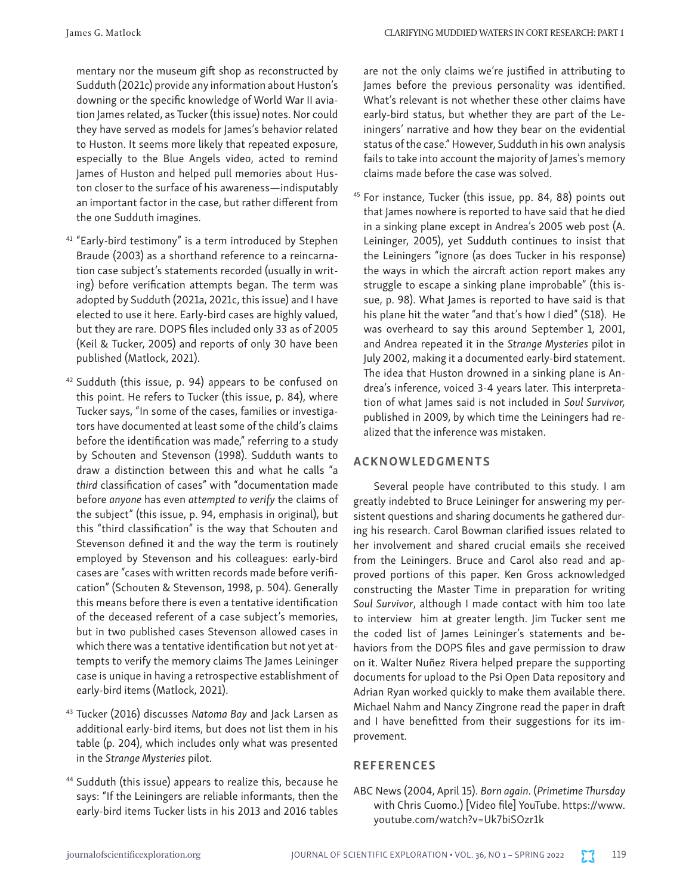James G. Matlock CLARIFYING MUDDIED WATERS IN CORT RESEARCH: PART 1

mentary nor the museum gift shop as reconstructed by Sudduth (2021c) provide any information about Huston's downing or the specific knowledge of World War II aviation James related, as Tucker (this issue) notes. Nor could they have served as models for James's behavior related to Huston. It seems more likely that repeated exposure, especially to the Blue Angels video, acted to remind James of Huston and helped pull memories about Huston closer to the surface of his awareness—indisputably an important factor in the case, but rather different from the one Sudduth imagines.

- <sup>41</sup> "Early-bird testimony" is a term introduced by Stephen Braude (2003) as a shorthand reference to a reincarnation case subject's statements recorded (usually in writing) before verification attempts began. The term was adopted by Sudduth (2021a, 2021c, this issue) and I have elected to use it here. Early-bird cases are highly valued, but they are rare. DOPS files included only 33 as of 2005 (Keil & Tucker, 2005) and reports of only 30 have been published (Matlock, 2021).
- $42$  Sudduth (this issue, p. 94) appears to be confused on this point. He refers to Tucker (this issue, p. 84), where Tucker says, "In some of the cases, families or investigators have documented at least some of the child's claims before the identification was made," referring to a study by Schouten and Stevenson (1998). Sudduth wants to draw a distinction between this and what he calls "a *third* classification of cases" with "documentation made before *anyone* has even *attempted to verify* the claims of the subject" (this issue, p. 94, emphasis in original), but this "third classification" is the way that Schouten and Stevenson defined it and the way the term is routinely employed by Stevenson and his colleagues: early-bird cases are "cases with written records made before verification" (Schouten & Stevenson, 1998, p. 504). Generally this means before there is even a tentative identification of the deceased referent of a case subject's memories, but in two published cases Stevenson allowed cases in which there was a tentative identification but not yet attempts to verify the memory claims The James Leininger case is unique in having a retrospective establishment of early-bird items (Matlock, 2021).
- <sup>43</sup> Tucker (2016) discusses *Natoma Bay* and Jack Larsen as additional early-bird items, but does not list them in his table (p. 204), which includes only what was presented in the *Strange Mysteries* pilot.
- <sup>44</sup> Sudduth (this issue) appears to realize this, because he says: "If the Leiningers are reliable informants, then the early-bird items Tucker lists in his 2013 and 2016 tables

are not the only claims we're justified in attributing to James before the previous personality was identified. What's relevant is not whether these other claims have early-bird status, but whether they are part of the Leiningers' narrative and how they bear on the evidential status of the case." However, Sudduth in his own analysis fails to take into account the majority of James's memory claims made before the case was solved.

<sup>45</sup> For instance, Tucker (this issue, pp. 84, 88) points out that James nowhere is reported to have said that he died in a sinking plane except in Andrea's 2005 web post (A. Leininger, 2005), yet Sudduth continues to insist that the Leiningers "ignore (as does Tucker in his response) the ways in which the aircraft action report makes any struggle to escape a sinking plane improbable" (this issue, p. 98). What James is reported to have said is that his plane hit the water "and that's how I died" (S18). He was overheard to say this around September 1, 2001, and Andrea repeated it in the *Strange Mysteries* pilot in July 2002, making it a documented early-bird statement. The idea that Huston drowned in a sinking plane is Andrea's inference, voiced 3-4 years later. This interpretation of what James said is not included in *Soul Survivor,* published in 2009, by which time the Leiningers had realized that the inference was mistaken.

## ACKNOWLEDGMENTS

Several people have contributed to this study. I am greatly indebted to Bruce Leininger for answering my persistent questions and sharing documents he gathered during his research. Carol Bowman clarified issues related to her involvement and shared crucial emails she received from the Leiningers. Bruce and Carol also read and approved portions of this paper. Ken Gross acknowledged constructing the Master Time in preparation for writing *Soul Survivor*, although I made contact with him too late to interview him at greater length. Jim Tucker sent me the coded list of James Leininger's statements and behaviors from the DOPS files and gave permission to draw on it. Walter Nuñez Rivera helped prepare the supporting documents for upload to the Psi Open Data repository and Adrian Ryan worked quickly to make them available there. Michael Nahm and Nancy Zingrone read the paper in draft and I have benefitted from their suggestions for its improvement.

#### **REFERENCES**

ABC News (2004, April 15). *Born again*. (*Primetime Thursday* with Chris Cuomo.) [Video file] YouTube. [https://www.](https://www.youtube.com/watch?v=Uk7biSOzr1k) [youtube.com/watch?v=Uk7biSOzr1k](https://www.youtube.com/watch?v=Uk7biSOzr1k)